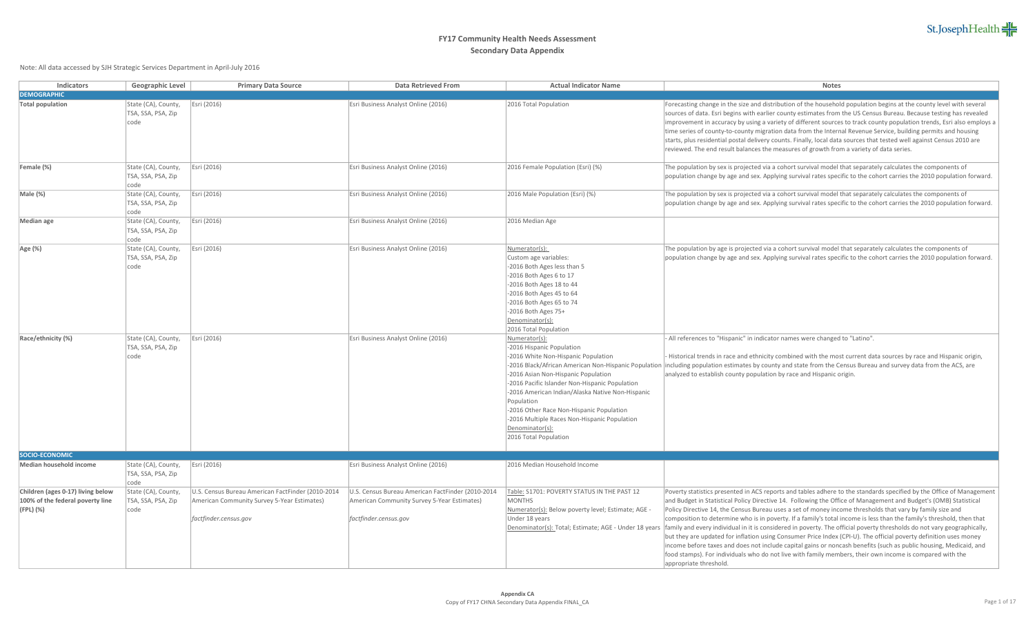| Indicators                                                                         | <b>Geographic Level</b>                            | <b>Primary Data Source</b>                                                                                                | <b>Data Retrieved From</b>                                                                                                | <b>Actual Indicator Name</b>                                                                                                                                                                                                                                                                                                                                                         | <b>Notes</b>                                                                                                                                                                                                                                                                                                                                                                                                                                                                                                                                                                 |
|------------------------------------------------------------------------------------|----------------------------------------------------|---------------------------------------------------------------------------------------------------------------------------|---------------------------------------------------------------------------------------------------------------------------|--------------------------------------------------------------------------------------------------------------------------------------------------------------------------------------------------------------------------------------------------------------------------------------------------------------------------------------------------------------------------------------|------------------------------------------------------------------------------------------------------------------------------------------------------------------------------------------------------------------------------------------------------------------------------------------------------------------------------------------------------------------------------------------------------------------------------------------------------------------------------------------------------------------------------------------------------------------------------|
| <b>DEMOGRAPHIC</b>                                                                 |                                                    |                                                                                                                           |                                                                                                                           |                                                                                                                                                                                                                                                                                                                                                                                      |                                                                                                                                                                                                                                                                                                                                                                                                                                                                                                                                                                              |
| <b>Total population</b>                                                            | State (CA), County,<br>TSA, SSA, PSA, Zip<br> code | Esri (2016)                                                                                                               | Esri Business Analyst Online (2016)                                                                                       | 2016 Total Population                                                                                                                                                                                                                                                                                                                                                                | Forecasting change in the size and distribution of the househol<br>sources of data. Esri begins with earlier county estimates from<br>improvement in accuracy by using a variety of different source<br>time series of county-to-county migration data from the Interr<br>starts, plus residential postal delivery counts. Finally, local data<br>reviewed. The end result balances the measures of growth fro                                                                                                                                                               |
| Female (%)                                                                         | State (CA), County,<br>TSA, SSA, PSA, Zip<br> code | Esri (2016)                                                                                                               | Esri Business Analyst Online (2016)                                                                                       | 2016 Female Population (Esri) (%)                                                                                                                                                                                                                                                                                                                                                    | The population by sex is projected via a cohort survival model<br>population change by age and sex. Applying survival rates spec                                                                                                                                                                                                                                                                                                                                                                                                                                             |
| Male (%)                                                                           | State (CA), County,<br>TSA, SSA, PSA, Zip<br> code | Esri (2016)                                                                                                               | Esri Business Analyst Online (2016)                                                                                       | 2016 Male Population (Esri) (%)                                                                                                                                                                                                                                                                                                                                                      | The population by sex is projected via a cohort survival model<br>population change by age and sex. Applying survival rates spec                                                                                                                                                                                                                                                                                                                                                                                                                                             |
| Median age                                                                         | State (CA), County,<br>TSA, SSA, PSA, Zip<br>code  | Esri (2016)                                                                                                               | Esri Business Analyst Online (2016)                                                                                       | 2016 Median Age                                                                                                                                                                                                                                                                                                                                                                      |                                                                                                                                                                                                                                                                                                                                                                                                                                                                                                                                                                              |
| Age (%)                                                                            | State (CA), County,<br>TSA, SSA, PSA, Zip<br>code  | Esri (2016)                                                                                                               | Esri Business Analyst Online (2016)                                                                                       | Numerator(s):<br>Custom age variables:<br>-2016 Both Ages less than 5<br>-2016 Both Ages 6 to 17<br>-2016 Both Ages 18 to 44<br>-2016 Both Ages 45 to 64<br>-2016 Both Ages 65 to 74<br>-2016 Both Ages 75+<br>Denominator(s):<br>2016 Total Population                                                                                                                              | The population by age is projected via a cohort survival model<br>population change by age and sex. Applying survival rates spec                                                                                                                                                                                                                                                                                                                                                                                                                                             |
| Race/ethnicity (%)                                                                 | State (CA), County,<br>TSA, SSA, PSA, Zip<br>code  | Esri (2016)                                                                                                               | Esri Business Analyst Online (2016)                                                                                       | Numerator(s):<br>-2016 Hispanic Population<br>-2016 White Non-Hispanic Population<br>-2016 Asian Non-Hispanic Population<br>-2016 Pacific Islander Non-Hispanic Population<br>-2016 American Indian/Alaska Native Non-Hispanic<br>Population<br>-2016 Other Race Non-Hispanic Population<br>-2016 Multiple Races Non-Hispanic Population<br>Denominator(s):<br>2016 Total Population | All references to "Hispanic" in indicator names were changed<br>- Historical trends in race and ethnicity combined with the mos<br>-2016 Black/African American Non-Hispanic Population  including population estimates by county and state from the C<br>analyzed to establish county population by race and Hispanic c                                                                                                                                                                                                                                                     |
| SOCIO-ECONOMIC                                                                     |                                                    |                                                                                                                           |                                                                                                                           |                                                                                                                                                                                                                                                                                                                                                                                      |                                                                                                                                                                                                                                                                                                                                                                                                                                                                                                                                                                              |
| Median household income                                                            | State (CA), County,<br>TSA, SSA, PSA, Zip<br>code  | Esri (2016)                                                                                                               | Esri Business Analyst Online (2016)                                                                                       | 2016 Median Household Income                                                                                                                                                                                                                                                                                                                                                         |                                                                                                                                                                                                                                                                                                                                                                                                                                                                                                                                                                              |
| Children (ages 0-17) living below<br>100% of the federal poverty line<br>(FPL) (%) | State (CA), County,<br>TSA, SSA, PSA, Zip<br> code | U.S. Census Bureau American FactFinder (2010-2014<br>American Community Survey 5-Year Estimates)<br>factfinder.census.gov | U.S. Census Bureau American FactFinder (2010-2014<br>American Community Survey 5-Year Estimates)<br>factfinder.census.gov | Table: S1701: POVERTY STATUS IN THE PAST 12<br><b>MONTHS</b><br>Numerator(s): Below poverty level; Estimate; AGE -<br>Under 18 years<br>Denominator(s): Total; Estimate; AGE - Under 18 years                                                                                                                                                                                        | Poverty statistics presented in ACS reports and tables adhere t<br>and Budget in Statistical Policy Directive 14. Following the Offi<br>Policy Directive 14, the Census Bureau uses a set of money ince<br>composition to determine who is in poverty. If a family's total<br>family and every individual in it is considered in poverty. The o<br>but they are updated for inflation using Consumer Price Index<br>income before taxes and does not include capital gains or none<br>food stamps). For individuals who do not live with family mem<br>annropriate threshold |

estimation on analyst Concept Condition (2016) Espinon Forecasting change in the size and distribution of the household population begins at the county level with several sources of data. Esri begins with earlier county estimates from the US Census Bureau. Because testing has revealed improvement in accuracy by using a variety of different sources to track county population trends, Esri also employs a time series of county-to-county migration data from the Internal Revenue Service, building permits and housing starts, plus residential postal delivery counts. Finally, local data sources that tested well against Census 2010 are reviewed. The end result balances the measures of growth from a variety of data series. ation (Esri) (%) The population by sex is projected via a cohort survival model that separately calculates the components of population change by age and sex. Applying survival rates specific to the cohort carries the 2010 population forward. ion (Esri) (%) The population by sex is projected via a cohort survival model that separately calculates the components of population change by age and sex. Applying survival rates specific to the cohort carries the 2010 population forward. es: s than 5  $2017$ to 44 to 64 to 74 The population by age is projected via a cohort survival model that separately calculates the components of population change by age and sex. Applying survival rates specific to the cohort carries the 2010 population forward. ulation ispanic Population -2016 Black/African American Non-Hispanic Population |including population estimates by county and state from the Census Bureau and survey data from the ACS, are spanic Population er Non-Hispanic Population lian/Alaska Native Non-Hispanic Ion-Hispanic Population es Non-Hispanic Population - All references to "Hispanic" in indicator names were changed to "Latino". - Historical trends in race and ethnicity combined with the most current data sources by race and Hispanic origin, analyzed to establish county population by race and Hispanic origin. RTY STATUS IN THE PAST 12 w poverty level; Estimate; AGE -Denominator(s): Total; Estimate; AGE - Under 18 years |family and every individual in it is considered in poverty. The official poverty thresholds do not vary geographically, Poverty statistics presented in ACS reports and tables adhere to the standards specified by the Office of Management and Budget in Statistical Policy Directive 14. Following the Office of Management and Budget's (OMB) Statistical Policy Directive 14, the Census Bureau uses a set of money income thresholds that vary by family size and composition to determine who is in poverty. If a family's total income is less than the family's threshold, then that but they are updated for inflation using Consumer Price Index (CPI-U). The official poverty definition uses money income before taxes and does not include capital gains or noncash benefits (such as public housing, Medicaid, and food stamps). For individuals who do not live with family members, their own income is compared with the

appropriate threshold.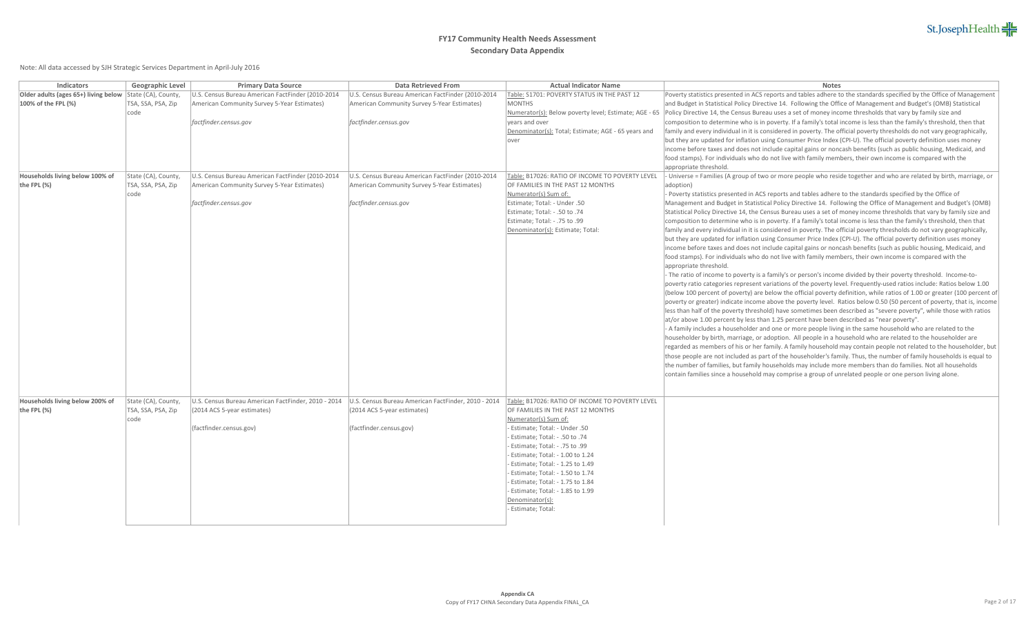# St.JosephHealth

| Indicators                           | <b>Geographic Level</b> | <b>Primary Data Source</b>                                                                                | <b>Data Retrieved From</b>                        | <b>Actual Indicator Name</b>                                  | <b>Notes</b>                                                                                                                                                                                                                             |
|--------------------------------------|-------------------------|-----------------------------------------------------------------------------------------------------------|---------------------------------------------------|---------------------------------------------------------------|------------------------------------------------------------------------------------------------------------------------------------------------------------------------------------------------------------------------------------------|
| Older adults (ages 65+) living below | State (CA), County,     | J.S. Census Bureau American FactFinder (2010-2014                                                         | U.S. Census Bureau American FactFinder (2010-2014 | Table: S1701: POVERTY STATUS IN THE PAST 12                   | Poverty statistics presented in ACS reports and tables adhere to the standards specified by the Office of Management                                                                                                                     |
| 100% of the FPL (%)                  | TSA, SSA, PSA, Zip      | American Community Survey 5-Year Estimates)                                                               | American Community Survey 5-Year Estimates)       | <b>MONTHS</b>                                                 | and Budget in Statistical Policy Directive 14. Following the Office of Management and Budget's (OMB) Statistical                                                                                                                         |
|                                      | code                    |                                                                                                           |                                                   | Numerator(s): Below poverty level; Estimate; AGE - 65         | Policy Directive 14, the Census Bureau uses a set of money income thresholds that vary by family size and                                                                                                                                |
|                                      |                         | factfinder.census.gov                                                                                     | factfinder.census.gov                             | years and over                                                | composition to determine who is in poverty. If a family's total income is less than the family's threshold, then that                                                                                                                    |
|                                      |                         |                                                                                                           |                                                   | Denominator(s): Total; Estimate; AGE - 65 years and           | family and every individual in it is considered in poverty. The official poverty thresholds do not vary geographically,                                                                                                                  |
|                                      |                         |                                                                                                           |                                                   | over                                                          | but they are updated for inflation using Consumer Price Index (CPI-U). The official poverty definition uses money                                                                                                                        |
|                                      |                         |                                                                                                           |                                                   |                                                               | income before taxes and does not include capital gains or noncash benefits (such as public housing, Medicaid, and                                                                                                                        |
|                                      |                         |                                                                                                           |                                                   |                                                               | food stamps). For individuals who do not live with family members, their own income is compared with the                                                                                                                                 |
|                                      |                         |                                                                                                           |                                                   |                                                               | appropriate threshold.                                                                                                                                                                                                                   |
| Households living below 100% of      | State (CA), County,     | U.S. Census Bureau American FactFinder (2010-2014                                                         | U.S. Census Bureau American FactFinder (2010-2014 | Table: B17026: RATIO OF INCOME TO POVERTY LEVEL               | Universe = Families (A group of two or more people who reside together and who are related by birth, marriage, or                                                                                                                        |
| the FPL $(\%)$                       | TSA, SSA, PSA, Zip      | American Community Survey 5-Year Estimates)                                                               | American Community Survey 5-Year Estimates)       | OF FAMILIES IN THE PAST 12 MONTHS                             | adoption)                                                                                                                                                                                                                                |
|                                      | code                    |                                                                                                           |                                                   | Numerator(s) Sum of:                                          | - Poverty statistics presented in ACS reports and tables adhere to the standards specified by the Office of                                                                                                                              |
|                                      |                         | factfinder.census.gov                                                                                     | factfinder.census.gov                             | Estimate; Total: - Under .50<br>Estimate; Total: - .50 to .74 | Management and Budget in Statistical Policy Directive 14. Following the Office of Management and Budget's (OMB)<br>Statistical Policy Directive 14, the Census Bureau uses a set of money income thresholds that vary by family size and |
|                                      |                         |                                                                                                           |                                                   | Estimate; Total: - .75 to .99                                 | composition to determine who is in poverty. If a family's total income is less than the family's threshold, then that                                                                                                                    |
|                                      |                         |                                                                                                           |                                                   | Denominator(s): Estimate; Total:                              | family and every individual in it is considered in poverty. The official poverty thresholds do not vary geographically,                                                                                                                  |
|                                      |                         |                                                                                                           |                                                   |                                                               | but they are updated for inflation using Consumer Price Index (CPI-U). The official poverty definition uses money                                                                                                                        |
|                                      |                         |                                                                                                           |                                                   |                                                               | income before taxes and does not include capital gains or noncash benefits (such as public housing, Medicaid, and                                                                                                                        |
|                                      |                         |                                                                                                           |                                                   |                                                               | food stamps). For individuals who do not live with family members, their own income is compared with the                                                                                                                                 |
|                                      |                         |                                                                                                           |                                                   |                                                               | appropriate threshold.                                                                                                                                                                                                                   |
|                                      |                         |                                                                                                           |                                                   |                                                               | - The ratio of income to poverty is a family's or person's income divided by their poverty threshold. Income-to-                                                                                                                         |
|                                      |                         |                                                                                                           |                                                   |                                                               | poverty ratio categories represent variations of the poverty level. Frequently-used ratios include: Ratios below 1.00                                                                                                                    |
|                                      |                         |                                                                                                           |                                                   |                                                               | (below 100 percent of poverty) are below the official poverty definition, while ratios of 1.00 or greater (100 percent of                                                                                                                |
|                                      |                         |                                                                                                           |                                                   |                                                               | poverty or greater) indicate income above the poverty level. Ratios below 0.50 (50 percent of poverty, that is, income                                                                                                                   |
|                                      |                         |                                                                                                           |                                                   |                                                               | less than half of the poverty threshold) have sometimes been described as "severe poverty", while those with ratios                                                                                                                      |
|                                      |                         |                                                                                                           |                                                   |                                                               | at/or above 1.00 percent by less than 1.25 percent have been described as "near poverty".                                                                                                                                                |
|                                      |                         |                                                                                                           |                                                   |                                                               | - A family includes a householder and one or more people living in the same household who are related to the                                                                                                                             |
|                                      |                         |                                                                                                           |                                                   |                                                               | householder by birth, marriage, or adoption. All people in a household who are related to the householder are                                                                                                                            |
|                                      |                         |                                                                                                           |                                                   |                                                               | regarded as members of his or her family. A family household may contain people not related to the householder, but                                                                                                                      |
|                                      |                         |                                                                                                           |                                                   |                                                               | those people are not included as part of the householder's family. Thus, the number of family households is equal to                                                                                                                     |
|                                      |                         |                                                                                                           |                                                   |                                                               | the number of families, but family households may include more members than do families. Not all households                                                                                                                              |
|                                      |                         |                                                                                                           |                                                   |                                                               | contain families since a household may comprise a group of unrelated people or one person living alone.                                                                                                                                  |
|                                      |                         |                                                                                                           |                                                   |                                                               |                                                                                                                                                                                                                                          |
| Households living below 200% of      | State (CA), County,     | U.S. Census Bureau American FactFinder, 2010 - 2014   U.S. Census Bureau American FactFinder, 2010 - 2014 |                                                   | Table: B17026: RATIO OF INCOME TO POVERTY LEVEL               |                                                                                                                                                                                                                                          |
| the FPL $(\%)$                       | TSA, SSA, PSA, Zip      | (2014 ACS 5-year estimates)                                                                               | $(2014$ ACS 5-year estimates)                     | OF FAMILIES IN THE PAST 12 MONTHS                             |                                                                                                                                                                                                                                          |
|                                      | code                    |                                                                                                           |                                                   | Numerator(s) Sum of:                                          |                                                                                                                                                                                                                                          |
|                                      |                         | (factfinder.census.gov)                                                                                   | (factfinder.census.gov)                           | - Estimate; Total: - Under .50                                |                                                                                                                                                                                                                                          |
|                                      |                         |                                                                                                           |                                                   | - Estimate; Total: - .50 to .74                               |                                                                                                                                                                                                                                          |
|                                      |                         |                                                                                                           |                                                   | - Estimate; Total: - .75 to .99                               |                                                                                                                                                                                                                                          |
|                                      |                         |                                                                                                           |                                                   | Estimate; Total: - 1.00 to 1.24                               |                                                                                                                                                                                                                                          |
|                                      |                         |                                                                                                           |                                                   | Estimate; Total: - 1.25 to 1.49                               |                                                                                                                                                                                                                                          |
|                                      |                         |                                                                                                           |                                                   | - Estimate; Total: - 1.50 to 1.74                             |                                                                                                                                                                                                                                          |
|                                      |                         |                                                                                                           |                                                   | - Estimate; Total: - 1.75 to 1.84                             |                                                                                                                                                                                                                                          |
|                                      |                         |                                                                                                           |                                                   | Estimate; Total: - 1.85 to 1.99                               |                                                                                                                                                                                                                                          |
|                                      |                         |                                                                                                           |                                                   | Denominator(s):                                               |                                                                                                                                                                                                                                          |
|                                      |                         |                                                                                                           |                                                   | - Estimate; Total:                                            |                                                                                                                                                                                                                                          |
|                                      |                         |                                                                                                           |                                                   |                                                               |                                                                                                                                                                                                                                          |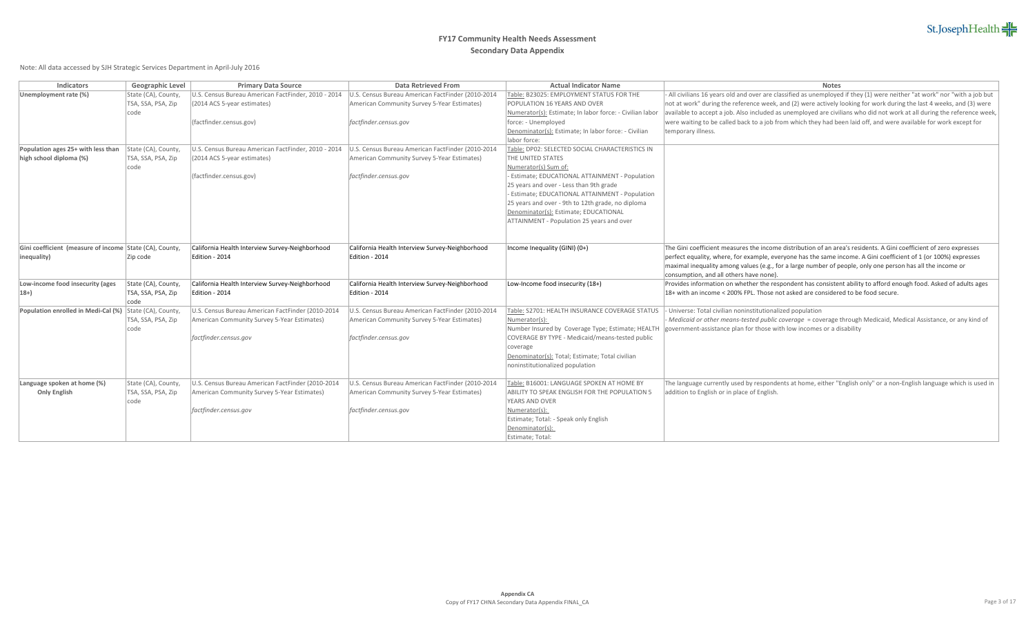| <b>Indicators</b>                                       | <b>Geographic Level</b> | <b>Primary Data Source</b>                          | <b>Data Retrieved From</b>                        | <b>Actual Indicator Name</b>                                                | <b>Notes</b>                                                                                                                                                                                                                                 |
|---------------------------------------------------------|-------------------------|-----------------------------------------------------|---------------------------------------------------|-----------------------------------------------------------------------------|----------------------------------------------------------------------------------------------------------------------------------------------------------------------------------------------------------------------------------------------|
| Unemployment rate (%)                                   | State (CA), County,     | U.S. Census Bureau American FactFinder, 2010 - 2014 | U.S. Census Bureau American FactFinder (2010-2014 | Table: B23025: EMPLOYMENT STATUS FOR THE                                    | - All civilians 16 years old and over are classified as unemployed if they (1) were neither "at work" nor "with a job but                                                                                                                    |
|                                                         | TSA, SSA, PSA, Zip      | (2014 ACS 5-year estimates)                         | American Community Survey 5-Year Estimates)       | POPULATION 16 YEARS AND OVER                                                | not at work" during the reference week, and (2) were actively looking for work during the last 4 weeks, and (3) were                                                                                                                         |
|                                                         | code                    |                                                     |                                                   | Numerator(s): Estimate; In labor force: - Civilian labor                    | available to accept a job. Also included as unemployed are civilians who did not work at all during the reference week,<br>were waiting to be called back to a job from which they had been laid off, and were available for work except for |
|                                                         |                         | (factfinder.census.gov)                             | factfinder.census.gov                             | force: - Unemployed<br>Denominator(s): Estimate; In labor force: - Civilian | temporary illness.                                                                                                                                                                                                                           |
|                                                         |                         |                                                     |                                                   | labor force:                                                                |                                                                                                                                                                                                                                              |
| Population ages 25+ with less than                      | State (CA), County,     | U.S. Census Bureau American FactFinder, 2010 - 2014 | U.S. Census Bureau American FactFinder (2010-2014 | Table: DP02: SELECTED SOCIAL CHARACTERISTICS IN                             |                                                                                                                                                                                                                                              |
| high school diploma (%)                                 | TSA, SSA, PSA, Zip      | (2014 ACS 5-year estimates)                         | American Community Survey 5-Year Estimates)       | THE UNITED STATES                                                           |                                                                                                                                                                                                                                              |
|                                                         | code                    |                                                     |                                                   | Numerator(s) Sum of:                                                        |                                                                                                                                                                                                                                              |
|                                                         |                         | (factfinder.census.gov)                             | factfinder.census.gov                             | - Estimate; EDUCATIONAL ATTAINMENT - Population                             |                                                                                                                                                                                                                                              |
|                                                         |                         |                                                     |                                                   | 25 years and over - Less than 9th grade                                     |                                                                                                                                                                                                                                              |
|                                                         |                         |                                                     |                                                   | - Estimate; EDUCATIONAL ATTAINMENT - Population                             |                                                                                                                                                                                                                                              |
|                                                         |                         |                                                     |                                                   | 25 years and over - 9th to 12th grade, no diploma                           |                                                                                                                                                                                                                                              |
|                                                         |                         |                                                     |                                                   | Denominator(s): Estimate; EDUCATIONAL                                       |                                                                                                                                                                                                                                              |
|                                                         |                         |                                                     |                                                   | ATTAINMENT - Population 25 years and over                                   |                                                                                                                                                                                                                                              |
|                                                         |                         |                                                     |                                                   |                                                                             |                                                                                                                                                                                                                                              |
| Gini coefficient (measure of income State (CA), County, |                         | California Health Interview Survey-Neighborhood     | California Health Interview Survey-Neighborhood   | Income Inequality (GINI) (0+)                                               | The Gini coefficient measures the income distribution of an area's residents. A Gini coefficient of zero expresses                                                                                                                           |
| (inequality)                                            | Zip code                | Edition - 2014                                      | Edition - 2014                                    |                                                                             | perfect equality, where, for example, everyone has the same income. A Gini coefficient of 1 (or 100%) expresses                                                                                                                              |
|                                                         |                         |                                                     |                                                   |                                                                             | maximal inequality among values (e.g., for a large number of people, only one person has all the income or                                                                                                                                   |
|                                                         |                         |                                                     |                                                   |                                                                             | consumption, and all others have none).                                                                                                                                                                                                      |
| Low-income food insecurity (ages                        | State (CA), County,     | California Health Interview Survey-Neighborhood     | California Health Interview Survey-Neighborhood   | Low-Income food insecurity (18+)                                            | Provides information on whether the respondent has consistent ability to afford enough food. Asked of adults ages                                                                                                                            |
| $ 18+$                                                  | TSA, SSA, PSA, Zip      | Edition - 2014                                      | Edition - 2014                                    |                                                                             | 18+ with an income < 200% FPL. Those not asked are considered to be food secure.                                                                                                                                                             |
|                                                         | code                    |                                                     |                                                   |                                                                             |                                                                                                                                                                                                                                              |
| Population enrolled in Medi-Cal (%)                     | State (CA), County,     | U.S. Census Bureau American FactFinder (2010-2014   | U.S. Census Bureau American FactFinder (2010-2014 | Table: S2701: HEALTH INSURANCE COVERAGE STATUS                              | Universe: Total civilian noninstitutionalized population                                                                                                                                                                                     |
|                                                         | TSA, SSA, PSA, Zip      | American Community Survey 5-Year Estimates)         | American Community Survey 5-Year Estimates)       | Numerator(s):                                                               | - Medicaid or other means-tested public coverage = coverage through Medicaid, Medical Assistance, or any kind of                                                                                                                             |
|                                                         | code                    |                                                     |                                                   |                                                                             | Number Insured by Coverage Type; Estimate; HEALTH  government-assistance plan for those with low incomes or a disability                                                                                                                     |
|                                                         |                         | factfinder.census.gov                               | factfinder.census.gov                             | COVERAGE BY TYPE - Medicaid/means-tested public                             |                                                                                                                                                                                                                                              |
|                                                         |                         |                                                     |                                                   | coverage                                                                    |                                                                                                                                                                                                                                              |
|                                                         |                         |                                                     |                                                   | Denominator(s): Total; Estimate; Total civilian                             |                                                                                                                                                                                                                                              |
|                                                         |                         |                                                     |                                                   | noninstitutionalized population                                             |                                                                                                                                                                                                                                              |
| Language spoken at home (%)                             | State (CA), County,     | U.S. Census Bureau American FactFinder (2010-2014   | U.S. Census Bureau American FactFinder (2010-2014 | Table: B16001: LANGUAGE SPOKEN AT HOME BY                                   | The language currently used by respondents at home, either "English only" or a non-English language which is used in                                                                                                                         |
| <b>Only English</b>                                     | TSA, SSA, PSA, Zip      | American Community Survey 5-Year Estimates)         | American Community Survey 5-Year Estimates)       | ABILITY TO SPEAK ENGLISH FOR THE POPULATION 5                               | addition to English or in place of English.                                                                                                                                                                                                  |
|                                                         | code                    |                                                     |                                                   | YEARS AND OVER                                                              |                                                                                                                                                                                                                                              |
|                                                         |                         | factfinder.census.gov                               | factfinder.census.gov                             | Numerator(s):                                                               |                                                                                                                                                                                                                                              |
|                                                         |                         |                                                     |                                                   | Estimate; Total: - Speak only English                                       |                                                                                                                                                                                                                                              |
|                                                         |                         |                                                     |                                                   | Denominator(s):                                                             |                                                                                                                                                                                                                                              |
|                                                         |                         |                                                     |                                                   | Estimate; Total:                                                            |                                                                                                                                                                                                                                              |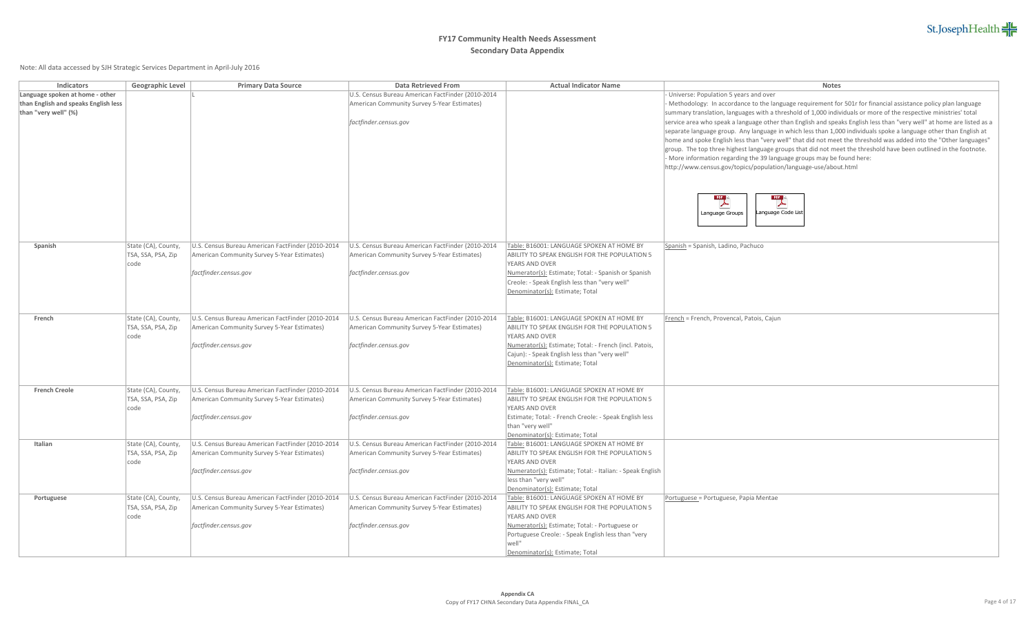# St.JosephHealth

| Language spoken at home - other<br>- Universe: Population 5 years and over<br>U.S. Census Bureau American FactFinder (2010-2014<br>than English and speaks English less<br>- Methodology: In accordance to the language requirement for 501r for financial assistance policy plan language<br>American Community Survey 5-Year Estimates)<br>than "very well" (%)<br>summary translation, languages with a threshold of 1,000 individuals or more of the respective ministries' total<br>factfinder.census.gov<br>separate language group. Any language in which less than 1,000 individuals spoke a language other than English at<br>home and spoke English less than "very well" that did not meet the threshold was added into the "Other languages"<br>group. The top three highest language groups that did not meet the threshold have been outlined in the footnote.<br>- More information regarding the 39 language groups may be found here:<br>http://www.census.gov/topics/population/language-use/about.html<br>$\overline{\phantom{a}}$<br>$\overline{\phantom{a}}$<br>Language Code List<br>Language Groups<br>State (CA), County,<br>U.S. Census Bureau American FactFinder (2010-2014<br>U.S. Census Bureau American FactFinder (2010-2014<br>Spanish<br>Table: B16001: LANGUAGE SPOKEN AT HOME BY<br>Spanish = Spanish, Ladino, Pachuco<br>TSA, SSA, PSA, Zip<br>American Community Survey 5-Year Estimates)<br>American Community Survey 5-Year Estimates)<br>ABILITY TO SPEAK ENGLISH FOR THE POPULATION 5<br>YEARS AND OVER<br>code<br>factfinder.census.gov<br>factfinder.census.gov<br>Numerator(s): Estimate; Total: - Spanish or Spanish<br>Creole: - Speak English less than "very well"<br>Denominator(s): Estimate; Total<br>State (CA), County,<br>U.S. Census Bureau American FactFinder (2010-2014<br>U.S. Census Bureau American FactFinder (2010-2014<br>French<br>Table: B16001: LANGUAGE SPOKEN AT HOME BY<br>French = French, Provencal, Patois, Cajun<br>TSA, SSA, PSA, Zip<br>American Community Survey 5-Year Estimates)<br>American Community Survey 5-Year Estimates)<br>ABILITY TO SPEAK ENGLISH FOR THE POPULATION 5<br>YEARS AND OVER<br>code<br>Numerator(s): Estimate; Total: - French (incl. Patois,<br>factfinder.census.gov<br>factfinder.census.gov<br>Cajun): - Speak English less than "very well" | <b>Indicators</b> | <b>Geographic Level</b> | <b>Primary Data Source</b> | <b>Data Retrieved From</b> | <b>Actual Indicator Name</b> | <b>Notes</b>                                                                                                          |
|--------------------------------------------------------------------------------------------------------------------------------------------------------------------------------------------------------------------------------------------------------------------------------------------------------------------------------------------------------------------------------------------------------------------------------------------------------------------------------------------------------------------------------------------------------------------------------------------------------------------------------------------------------------------------------------------------------------------------------------------------------------------------------------------------------------------------------------------------------------------------------------------------------------------------------------------------------------------------------------------------------------------------------------------------------------------------------------------------------------------------------------------------------------------------------------------------------------------------------------------------------------------------------------------------------------------------------------------------------------------------------------------------------------------------------------------------------------------------------------------------------------------------------------------------------------------------------------------------------------------------------------------------------------------------------------------------------------------------------------------------------------------------------------------------------------------------------------------------------------------------------------------------------------------------------------------------------------------------------------------------------------------------------------------------------------------------------------------------------------------------------------------------------------------------------------------------------------------------------------------------------------------------------------------------------------------------------------------------------|-------------------|-------------------------|----------------------------|----------------------------|------------------------------|-----------------------------------------------------------------------------------------------------------------------|
|                                                                                                                                                                                                                                                                                                                                                                                                                                                                                                                                                                                                                                                                                                                                                                                                                                                                                                                                                                                                                                                                                                                                                                                                                                                                                                                                                                                                                                                                                                                                                                                                                                                                                                                                                                                                                                                                                                                                                                                                                                                                                                                                                                                                                                                                                                                                                        |                   |                         |                            |                            |                              |                                                                                                                       |
|                                                                                                                                                                                                                                                                                                                                                                                                                                                                                                                                                                                                                                                                                                                                                                                                                                                                                                                                                                                                                                                                                                                                                                                                                                                                                                                                                                                                                                                                                                                                                                                                                                                                                                                                                                                                                                                                                                                                                                                                                                                                                                                                                                                                                                                                                                                                                        |                   |                         |                            |                            |                              |                                                                                                                       |
|                                                                                                                                                                                                                                                                                                                                                                                                                                                                                                                                                                                                                                                                                                                                                                                                                                                                                                                                                                                                                                                                                                                                                                                                                                                                                                                                                                                                                                                                                                                                                                                                                                                                                                                                                                                                                                                                                                                                                                                                                                                                                                                                                                                                                                                                                                                                                        |                   |                         |                            |                            |                              |                                                                                                                       |
|                                                                                                                                                                                                                                                                                                                                                                                                                                                                                                                                                                                                                                                                                                                                                                                                                                                                                                                                                                                                                                                                                                                                                                                                                                                                                                                                                                                                                                                                                                                                                                                                                                                                                                                                                                                                                                                                                                                                                                                                                                                                                                                                                                                                                                                                                                                                                        |                   |                         |                            |                            |                              | service area who speak a language other than English and speaks English less than "very well" at home are listed as a |
|                                                                                                                                                                                                                                                                                                                                                                                                                                                                                                                                                                                                                                                                                                                                                                                                                                                                                                                                                                                                                                                                                                                                                                                                                                                                                                                                                                                                                                                                                                                                                                                                                                                                                                                                                                                                                                                                                                                                                                                                                                                                                                                                                                                                                                                                                                                                                        |                   |                         |                            |                            |                              |                                                                                                                       |
|                                                                                                                                                                                                                                                                                                                                                                                                                                                                                                                                                                                                                                                                                                                                                                                                                                                                                                                                                                                                                                                                                                                                                                                                                                                                                                                                                                                                                                                                                                                                                                                                                                                                                                                                                                                                                                                                                                                                                                                                                                                                                                                                                                                                                                                                                                                                                        |                   |                         |                            |                            |                              |                                                                                                                       |
|                                                                                                                                                                                                                                                                                                                                                                                                                                                                                                                                                                                                                                                                                                                                                                                                                                                                                                                                                                                                                                                                                                                                                                                                                                                                                                                                                                                                                                                                                                                                                                                                                                                                                                                                                                                                                                                                                                                                                                                                                                                                                                                                                                                                                                                                                                                                                        |                   |                         |                            |                            |                              |                                                                                                                       |
|                                                                                                                                                                                                                                                                                                                                                                                                                                                                                                                                                                                                                                                                                                                                                                                                                                                                                                                                                                                                                                                                                                                                                                                                                                                                                                                                                                                                                                                                                                                                                                                                                                                                                                                                                                                                                                                                                                                                                                                                                                                                                                                                                                                                                                                                                                                                                        |                   |                         |                            |                            |                              |                                                                                                                       |
|                                                                                                                                                                                                                                                                                                                                                                                                                                                                                                                                                                                                                                                                                                                                                                                                                                                                                                                                                                                                                                                                                                                                                                                                                                                                                                                                                                                                                                                                                                                                                                                                                                                                                                                                                                                                                                                                                                                                                                                                                                                                                                                                                                                                                                                                                                                                                        |                   |                         |                            |                            |                              |                                                                                                                       |
|                                                                                                                                                                                                                                                                                                                                                                                                                                                                                                                                                                                                                                                                                                                                                                                                                                                                                                                                                                                                                                                                                                                                                                                                                                                                                                                                                                                                                                                                                                                                                                                                                                                                                                                                                                                                                                                                                                                                                                                                                                                                                                                                                                                                                                                                                                                                                        |                   |                         |                            |                            |                              |                                                                                                                       |
|                                                                                                                                                                                                                                                                                                                                                                                                                                                                                                                                                                                                                                                                                                                                                                                                                                                                                                                                                                                                                                                                                                                                                                                                                                                                                                                                                                                                                                                                                                                                                                                                                                                                                                                                                                                                                                                                                                                                                                                                                                                                                                                                                                                                                                                                                                                                                        |                   |                         |                            |                            |                              |                                                                                                                       |
|                                                                                                                                                                                                                                                                                                                                                                                                                                                                                                                                                                                                                                                                                                                                                                                                                                                                                                                                                                                                                                                                                                                                                                                                                                                                                                                                                                                                                                                                                                                                                                                                                                                                                                                                                                                                                                                                                                                                                                                                                                                                                                                                                                                                                                                                                                                                                        |                   |                         |                            |                            |                              |                                                                                                                       |
|                                                                                                                                                                                                                                                                                                                                                                                                                                                                                                                                                                                                                                                                                                                                                                                                                                                                                                                                                                                                                                                                                                                                                                                                                                                                                                                                                                                                                                                                                                                                                                                                                                                                                                                                                                                                                                                                                                                                                                                                                                                                                                                                                                                                                                                                                                                                                        |                   |                         |                            |                            |                              |                                                                                                                       |
|                                                                                                                                                                                                                                                                                                                                                                                                                                                                                                                                                                                                                                                                                                                                                                                                                                                                                                                                                                                                                                                                                                                                                                                                                                                                                                                                                                                                                                                                                                                                                                                                                                                                                                                                                                                                                                                                                                                                                                                                                                                                                                                                                                                                                                                                                                                                                        |                   |                         |                            |                            |                              |                                                                                                                       |
|                                                                                                                                                                                                                                                                                                                                                                                                                                                                                                                                                                                                                                                                                                                                                                                                                                                                                                                                                                                                                                                                                                                                                                                                                                                                                                                                                                                                                                                                                                                                                                                                                                                                                                                                                                                                                                                                                                                                                                                                                                                                                                                                                                                                                                                                                                                                                        |                   |                         |                            |                            |                              |                                                                                                                       |
|                                                                                                                                                                                                                                                                                                                                                                                                                                                                                                                                                                                                                                                                                                                                                                                                                                                                                                                                                                                                                                                                                                                                                                                                                                                                                                                                                                                                                                                                                                                                                                                                                                                                                                                                                                                                                                                                                                                                                                                                                                                                                                                                                                                                                                                                                                                                                        |                   |                         |                            |                            |                              |                                                                                                                       |
|                                                                                                                                                                                                                                                                                                                                                                                                                                                                                                                                                                                                                                                                                                                                                                                                                                                                                                                                                                                                                                                                                                                                                                                                                                                                                                                                                                                                                                                                                                                                                                                                                                                                                                                                                                                                                                                                                                                                                                                                                                                                                                                                                                                                                                                                                                                                                        |                   |                         |                            |                            |                              |                                                                                                                       |
|                                                                                                                                                                                                                                                                                                                                                                                                                                                                                                                                                                                                                                                                                                                                                                                                                                                                                                                                                                                                                                                                                                                                                                                                                                                                                                                                                                                                                                                                                                                                                                                                                                                                                                                                                                                                                                                                                                                                                                                                                                                                                                                                                                                                                                                                                                                                                        |                   |                         |                            |                            |                              |                                                                                                                       |
|                                                                                                                                                                                                                                                                                                                                                                                                                                                                                                                                                                                                                                                                                                                                                                                                                                                                                                                                                                                                                                                                                                                                                                                                                                                                                                                                                                                                                                                                                                                                                                                                                                                                                                                                                                                                                                                                                                                                                                                                                                                                                                                                                                                                                                                                                                                                                        |                   |                         |                            |                            |                              |                                                                                                                       |
|                                                                                                                                                                                                                                                                                                                                                                                                                                                                                                                                                                                                                                                                                                                                                                                                                                                                                                                                                                                                                                                                                                                                                                                                                                                                                                                                                                                                                                                                                                                                                                                                                                                                                                                                                                                                                                                                                                                                                                                                                                                                                                                                                                                                                                                                                                                                                        |                   |                         |                            |                            |                              |                                                                                                                       |
|                                                                                                                                                                                                                                                                                                                                                                                                                                                                                                                                                                                                                                                                                                                                                                                                                                                                                                                                                                                                                                                                                                                                                                                                                                                                                                                                                                                                                                                                                                                                                                                                                                                                                                                                                                                                                                                                                                                                                                                                                                                                                                                                                                                                                                                                                                                                                        |                   |                         |                            |                            |                              |                                                                                                                       |
|                                                                                                                                                                                                                                                                                                                                                                                                                                                                                                                                                                                                                                                                                                                                                                                                                                                                                                                                                                                                                                                                                                                                                                                                                                                                                                                                                                                                                                                                                                                                                                                                                                                                                                                                                                                                                                                                                                                                                                                                                                                                                                                                                                                                                                                                                                                                                        |                   |                         |                            |                            |                              |                                                                                                                       |
|                                                                                                                                                                                                                                                                                                                                                                                                                                                                                                                                                                                                                                                                                                                                                                                                                                                                                                                                                                                                                                                                                                                                                                                                                                                                                                                                                                                                                                                                                                                                                                                                                                                                                                                                                                                                                                                                                                                                                                                                                                                                                                                                                                                                                                                                                                                                                        |                   |                         |                            |                            |                              |                                                                                                                       |
|                                                                                                                                                                                                                                                                                                                                                                                                                                                                                                                                                                                                                                                                                                                                                                                                                                                                                                                                                                                                                                                                                                                                                                                                                                                                                                                                                                                                                                                                                                                                                                                                                                                                                                                                                                                                                                                                                                                                                                                                                                                                                                                                                                                                                                                                                                                                                        |                   |                         |                            |                            |                              |                                                                                                                       |
|                                                                                                                                                                                                                                                                                                                                                                                                                                                                                                                                                                                                                                                                                                                                                                                                                                                                                                                                                                                                                                                                                                                                                                                                                                                                                                                                                                                                                                                                                                                                                                                                                                                                                                                                                                                                                                                                                                                                                                                                                                                                                                                                                                                                                                                                                                                                                        |                   |                         |                            |                            |                              |                                                                                                                       |
|                                                                                                                                                                                                                                                                                                                                                                                                                                                                                                                                                                                                                                                                                                                                                                                                                                                                                                                                                                                                                                                                                                                                                                                                                                                                                                                                                                                                                                                                                                                                                                                                                                                                                                                                                                                                                                                                                                                                                                                                                                                                                                                                                                                                                                                                                                                                                        |                   |                         |                            |                            |                              |                                                                                                                       |
|                                                                                                                                                                                                                                                                                                                                                                                                                                                                                                                                                                                                                                                                                                                                                                                                                                                                                                                                                                                                                                                                                                                                                                                                                                                                                                                                                                                                                                                                                                                                                                                                                                                                                                                                                                                                                                                                                                                                                                                                                                                                                                                                                                                                                                                                                                                                                        |                   |                         |                            |                            |                              |                                                                                                                       |
|                                                                                                                                                                                                                                                                                                                                                                                                                                                                                                                                                                                                                                                                                                                                                                                                                                                                                                                                                                                                                                                                                                                                                                                                                                                                                                                                                                                                                                                                                                                                                                                                                                                                                                                                                                                                                                                                                                                                                                                                                                                                                                                                                                                                                                                                                                                                                        |                   |                         |                            |                            |                              |                                                                                                                       |
| Denominator(s): Estimate; Total                                                                                                                                                                                                                                                                                                                                                                                                                                                                                                                                                                                                                                                                                                                                                                                                                                                                                                                                                                                                                                                                                                                                                                                                                                                                                                                                                                                                                                                                                                                                                                                                                                                                                                                                                                                                                                                                                                                                                                                                                                                                                                                                                                                                                                                                                                                        |                   |                         |                            |                            |                              |                                                                                                                       |
|                                                                                                                                                                                                                                                                                                                                                                                                                                                                                                                                                                                                                                                                                                                                                                                                                                                                                                                                                                                                                                                                                                                                                                                                                                                                                                                                                                                                                                                                                                                                                                                                                                                                                                                                                                                                                                                                                                                                                                                                                                                                                                                                                                                                                                                                                                                                                        |                   |                         |                            |                            |                              |                                                                                                                       |
| <b>French Creole</b><br>State (CA), County,<br>U.S. Census Bureau American FactFinder (2010-2014<br>U.S. Census Bureau American FactFinder (2010-2014<br>Table: B16001: LANGUAGE SPOKEN AT HOME BY                                                                                                                                                                                                                                                                                                                                                                                                                                                                                                                                                                                                                                                                                                                                                                                                                                                                                                                                                                                                                                                                                                                                                                                                                                                                                                                                                                                                                                                                                                                                                                                                                                                                                                                                                                                                                                                                                                                                                                                                                                                                                                                                                     |                   |                         |                            |                            |                              |                                                                                                                       |
| TSA, SSA, PSA, Zip<br>American Community Survey 5-Year Estimates)<br>American Community Survey 5-Year Estimates)<br>ABILITY TO SPEAK ENGLISH FOR THE POPULATION 5                                                                                                                                                                                                                                                                                                                                                                                                                                                                                                                                                                                                                                                                                                                                                                                                                                                                                                                                                                                                                                                                                                                                                                                                                                                                                                                                                                                                                                                                                                                                                                                                                                                                                                                                                                                                                                                                                                                                                                                                                                                                                                                                                                                      |                   |                         |                            |                            |                              |                                                                                                                       |
| YEARS AND OVER<br>code                                                                                                                                                                                                                                                                                                                                                                                                                                                                                                                                                                                                                                                                                                                                                                                                                                                                                                                                                                                                                                                                                                                                                                                                                                                                                                                                                                                                                                                                                                                                                                                                                                                                                                                                                                                                                                                                                                                                                                                                                                                                                                                                                                                                                                                                                                                                 |                   |                         |                            |                            |                              |                                                                                                                       |
| factfinder.census.gov<br>factfinder.census.gov<br>Estimate; Total: - French Creole: - Speak English less                                                                                                                                                                                                                                                                                                                                                                                                                                                                                                                                                                                                                                                                                                                                                                                                                                                                                                                                                                                                                                                                                                                                                                                                                                                                                                                                                                                                                                                                                                                                                                                                                                                                                                                                                                                                                                                                                                                                                                                                                                                                                                                                                                                                                                               |                   |                         |                            |                            |                              |                                                                                                                       |
| than "very well"                                                                                                                                                                                                                                                                                                                                                                                                                                                                                                                                                                                                                                                                                                                                                                                                                                                                                                                                                                                                                                                                                                                                                                                                                                                                                                                                                                                                                                                                                                                                                                                                                                                                                                                                                                                                                                                                                                                                                                                                                                                                                                                                                                                                                                                                                                                                       |                   |                         |                            |                            |                              |                                                                                                                       |
| Denominator(s): Estimate; Total                                                                                                                                                                                                                                                                                                                                                                                                                                                                                                                                                                                                                                                                                                                                                                                                                                                                                                                                                                                                                                                                                                                                                                                                                                                                                                                                                                                                                                                                                                                                                                                                                                                                                                                                                                                                                                                                                                                                                                                                                                                                                                                                                                                                                                                                                                                        |                   |                         |                            |                            |                              |                                                                                                                       |
| State (CA), County,<br>U.S. Census Bureau American FactFinder (2010-2014<br>U.S. Census Bureau American FactFinder (2010-2014<br>Table: B16001: LANGUAGE SPOKEN AT HOME BY<br>Italian                                                                                                                                                                                                                                                                                                                                                                                                                                                                                                                                                                                                                                                                                                                                                                                                                                                                                                                                                                                                                                                                                                                                                                                                                                                                                                                                                                                                                                                                                                                                                                                                                                                                                                                                                                                                                                                                                                                                                                                                                                                                                                                                                                  |                   |                         |                            |                            |                              |                                                                                                                       |
| TSA, SSA, PSA, Zip<br>American Community Survey 5-Year Estimates)<br>American Community Survey 5-Year Estimates)<br>ABILITY TO SPEAK ENGLISH FOR THE POPULATION 5                                                                                                                                                                                                                                                                                                                                                                                                                                                                                                                                                                                                                                                                                                                                                                                                                                                                                                                                                                                                                                                                                                                                                                                                                                                                                                                                                                                                                                                                                                                                                                                                                                                                                                                                                                                                                                                                                                                                                                                                                                                                                                                                                                                      |                   |                         |                            |                            |                              |                                                                                                                       |
| YEARS AND OVER<br>code                                                                                                                                                                                                                                                                                                                                                                                                                                                                                                                                                                                                                                                                                                                                                                                                                                                                                                                                                                                                                                                                                                                                                                                                                                                                                                                                                                                                                                                                                                                                                                                                                                                                                                                                                                                                                                                                                                                                                                                                                                                                                                                                                                                                                                                                                                                                 |                   |                         |                            |                            |                              |                                                                                                                       |
| factfinder.census.gov<br>Numerator(s): Estimate; Total: - Italian: - Speak English<br>factfinder.census.gov                                                                                                                                                                                                                                                                                                                                                                                                                                                                                                                                                                                                                                                                                                                                                                                                                                                                                                                                                                                                                                                                                                                                                                                                                                                                                                                                                                                                                                                                                                                                                                                                                                                                                                                                                                                                                                                                                                                                                                                                                                                                                                                                                                                                                                            |                   |                         |                            |                            |                              |                                                                                                                       |
| less than "very well"                                                                                                                                                                                                                                                                                                                                                                                                                                                                                                                                                                                                                                                                                                                                                                                                                                                                                                                                                                                                                                                                                                                                                                                                                                                                                                                                                                                                                                                                                                                                                                                                                                                                                                                                                                                                                                                                                                                                                                                                                                                                                                                                                                                                                                                                                                                                  |                   |                         |                            |                            |                              |                                                                                                                       |
| Denominator(s): Estimate; Total<br>State (CA), County,<br>U.S. Census Bureau American FactFinder (2010-2014<br>U.S. Census Bureau American FactFinder (2010-2014<br>Portuguese = Portuguese, Papia Mentae<br>Table: B16001: LANGUAGE SPOKEN AT HOME BY<br>Portuguese                                                                                                                                                                                                                                                                                                                                                                                                                                                                                                                                                                                                                                                                                                                                                                                                                                                                                                                                                                                                                                                                                                                                                                                                                                                                                                                                                                                                                                                                                                                                                                                                                                                                                                                                                                                                                                                                                                                                                                                                                                                                                   |                   |                         |                            |                            |                              |                                                                                                                       |
| TSA, SSA, PSA, Zip<br>American Community Survey 5-Year Estimates)<br>American Community Survey 5-Year Estimates)<br>ABILITY TO SPEAK ENGLISH FOR THE POPULATION 5                                                                                                                                                                                                                                                                                                                                                                                                                                                                                                                                                                                                                                                                                                                                                                                                                                                                                                                                                                                                                                                                                                                                                                                                                                                                                                                                                                                                                                                                                                                                                                                                                                                                                                                                                                                                                                                                                                                                                                                                                                                                                                                                                                                      |                   |                         |                            |                            |                              |                                                                                                                       |
| YEARS AND OVER<br>code                                                                                                                                                                                                                                                                                                                                                                                                                                                                                                                                                                                                                                                                                                                                                                                                                                                                                                                                                                                                                                                                                                                                                                                                                                                                                                                                                                                                                                                                                                                                                                                                                                                                                                                                                                                                                                                                                                                                                                                                                                                                                                                                                                                                                                                                                                                                 |                   |                         |                            |                            |                              |                                                                                                                       |
| Numerator(s): Estimate; Total: - Portuguese or<br>factfinder.census.gov<br>factfinder.census.gov                                                                                                                                                                                                                                                                                                                                                                                                                                                                                                                                                                                                                                                                                                                                                                                                                                                                                                                                                                                                                                                                                                                                                                                                                                                                                                                                                                                                                                                                                                                                                                                                                                                                                                                                                                                                                                                                                                                                                                                                                                                                                                                                                                                                                                                       |                   |                         |                            |                            |                              |                                                                                                                       |
| Portuguese Creole: - Speak English less than "very                                                                                                                                                                                                                                                                                                                                                                                                                                                                                                                                                                                                                                                                                                                                                                                                                                                                                                                                                                                                                                                                                                                                                                                                                                                                                                                                                                                                                                                                                                                                                                                                                                                                                                                                                                                                                                                                                                                                                                                                                                                                                                                                                                                                                                                                                                     |                   |                         |                            |                            |                              |                                                                                                                       |
| well"                                                                                                                                                                                                                                                                                                                                                                                                                                                                                                                                                                                                                                                                                                                                                                                                                                                                                                                                                                                                                                                                                                                                                                                                                                                                                                                                                                                                                                                                                                                                                                                                                                                                                                                                                                                                                                                                                                                                                                                                                                                                                                                                                                                                                                                                                                                                                  |                   |                         |                            |                            |                              |                                                                                                                       |
| Denominator(s): Estimate; Total                                                                                                                                                                                                                                                                                                                                                                                                                                                                                                                                                                                                                                                                                                                                                                                                                                                                                                                                                                                                                                                                                                                                                                                                                                                                                                                                                                                                                                                                                                                                                                                                                                                                                                                                                                                                                                                                                                                                                                                                                                                                                                                                                                                                                                                                                                                        |                   |                         |                            |                            |                              |                                                                                                                       |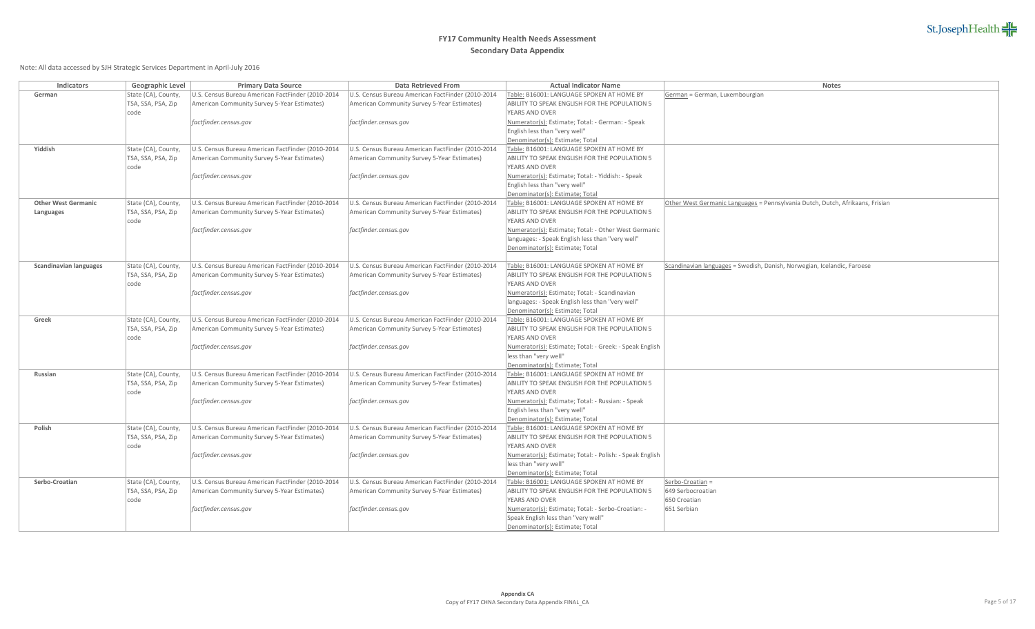| <b>Indicators</b>             | <b>Geographic Level</b>                   | <b>Primary Data Source</b>                        | <b>Data Retrieved From</b>                        | <b>Actual Indicator Name</b>                                                 | <b>Notes</b>                                                                  |
|-------------------------------|-------------------------------------------|---------------------------------------------------|---------------------------------------------------|------------------------------------------------------------------------------|-------------------------------------------------------------------------------|
| German                        | State (CA), County,                       | J.S. Census Bureau American FactFinder (2010-2014 | U.S. Census Bureau American FactFinder (2010-2014 | Table: B16001: LANGUAGE SPOKEN AT HOME BY                                    | German = German, Luxembourgian                                                |
|                               | TSA, SSA, PSA, Zip                        | American Community Survey 5-Year Estimates)       | American Community Survey 5-Year Estimates)       | ABILITY TO SPEAK ENGLISH FOR THE POPULATION 5                                |                                                                               |
|                               | code                                      |                                                   |                                                   | YEARS AND OVER                                                               |                                                                               |
|                               |                                           | factfinder.census.gov                             | factfinder.census.gov                             | Numerator(s): Estimate; Total: - German: - Speak                             |                                                                               |
|                               |                                           |                                                   |                                                   | English less than "very well"                                                |                                                                               |
|                               |                                           |                                                   |                                                   | Denominator(s): Estimate; Total                                              |                                                                               |
| Yiddish                       | State (CA), County,                       | U.S. Census Bureau American FactFinder (2010-2014 | U.S. Census Bureau American FactFinder (2010-2014 | Table: B16001: LANGUAGE SPOKEN AT HOME BY                                    |                                                                               |
|                               | TSA, SSA, PSA, Zip                        | American Community Survey 5-Year Estimates)       | American Community Survey 5-Year Estimates)       | ABILITY TO SPEAK ENGLISH FOR THE POPULATION 5                                |                                                                               |
|                               | code                                      |                                                   |                                                   | <b>YEARS AND OVER</b>                                                        |                                                                               |
|                               |                                           | factfinder.census.gov                             | factfinder.census.gov                             | Numerator(s): Estimate; Total: - Yiddish: - Speak                            |                                                                               |
|                               |                                           |                                                   |                                                   | English less than "very well"                                                |                                                                               |
|                               |                                           |                                                   |                                                   | Denominator(s): Estimate; Total                                              |                                                                               |
| <b>Other West Germanic</b>    | State (CA), County,                       | U.S. Census Bureau American FactFinder (2010-2014 | U.S. Census Bureau American FactFinder (2010-2014 | Table: B16001: LANGUAGE SPOKEN AT HOME BY                                    | Other West Germanic Languages = Pennsylvania Dutch, Dutch, Afrikaans, Frisian |
| <b>Languages</b>              | TSA, SSA, PSA, Zip                        | American Community Survey 5-Year Estimates)       | American Community Survey 5-Year Estimates)       | ABILITY TO SPEAK ENGLISH FOR THE POPULATION 5                                |                                                                               |
|                               | code                                      |                                                   |                                                   | YEARS AND OVER                                                               |                                                                               |
|                               |                                           | factfinder.census.gov                             | factfinder.census.gov                             | Numerator(s): Estimate; Total: - Other West Germanic                         |                                                                               |
|                               |                                           |                                                   |                                                   | languages: - Speak English less than "very well"                             |                                                                               |
|                               |                                           |                                                   |                                                   | Denominator(s): Estimate; Total                                              |                                                                               |
|                               |                                           |                                                   |                                                   |                                                                              |                                                                               |
| <b>Scandinavian languages</b> | State (CA), County,                       | U.S. Census Bureau American FactFinder (2010-2014 | U.S. Census Bureau American FactFinder (2010-2014 | Table: B16001: LANGUAGE SPOKEN AT HOME BY                                    | Scandinavian languages = Swedish, Danish, Norwegian, Icelandic, Faroese       |
|                               | TSA, SSA, PSA, Zip                        | American Community Survey 5-Year Estimates)       | American Community Survey 5-Year Estimates)       | ABILITY TO SPEAK ENGLISH FOR THE POPULATION 5                                |                                                                               |
|                               | code                                      |                                                   |                                                   | YEARS AND OVER                                                               |                                                                               |
|                               |                                           | factfinder.census.gov                             | factfinder.census.gov                             | Numerator(s): Estimate; Total: - Scandinavian                                |                                                                               |
|                               |                                           |                                                   |                                                   | languages: - Speak English less than "very well"                             |                                                                               |
|                               |                                           | J.S. Census Bureau American FactFinder (2010-2014 | U.S. Census Bureau American FactFinder (2010-2014 | Denominator(s): Estimate; Total<br>Table: B16001: LANGUAGE SPOKEN AT HOME BY |                                                                               |
| Greek                         | State (CA), County,<br>TSA, SSA, PSA, Zip | American Community Survey 5-Year Estimates)       | American Community Survey 5-Year Estimates)       | ABILITY TO SPEAK ENGLISH FOR THE POPULATION 5                                |                                                                               |
|                               | code                                      |                                                   |                                                   | <b>YEARS AND OVER</b>                                                        |                                                                               |
|                               |                                           | factfinder.census.gov                             | factfinder.census.gov                             | Numerator(s): Estimate; Total: - Greek: - Speak English                      |                                                                               |
|                               |                                           |                                                   |                                                   | less than "very well"                                                        |                                                                               |
|                               |                                           |                                                   |                                                   | Denominator(s): Estimate; Total                                              |                                                                               |
| <b>Russian</b>                | State (CA), County,                       | U.S. Census Bureau American FactFinder (2010-2014 | U.S. Census Bureau American FactFinder (2010-2014 | Table: B16001: LANGUAGE SPOKEN AT HOME BY                                    |                                                                               |
|                               | TSA, SSA, PSA, Zip                        | American Community Survey 5-Year Estimates)       | American Community Survey 5-Year Estimates)       | ABILITY TO SPEAK ENGLISH FOR THE POPULATION 5                                |                                                                               |
|                               | code                                      |                                                   |                                                   | YEARS AND OVER                                                               |                                                                               |
|                               |                                           | factfinder.census.gov                             | factfinder.census.gov                             | Numerator(s): Estimate; Total: - Russian: - Speak                            |                                                                               |
|                               |                                           |                                                   |                                                   | English less than "very well"                                                |                                                                               |
|                               |                                           |                                                   |                                                   | Denominator(s): Estimate; Total                                              |                                                                               |
| Polish                        | State (CA), County,                       | U.S. Census Bureau American FactFinder (2010-2014 | U.S. Census Bureau American FactFinder (2010-2014 | Table: B16001: LANGUAGE SPOKEN AT HOME BY                                    |                                                                               |
|                               | TSA, SSA, PSA, Zip                        | American Community Survey 5-Year Estimates)       | American Community Survey 5-Year Estimates)       | ABILITY TO SPEAK ENGLISH FOR THE POPULATION 5                                |                                                                               |
|                               | code                                      |                                                   |                                                   | <b>YEARS AND OVER</b>                                                        |                                                                               |
|                               |                                           | factfinder.census.gov                             | factfinder.census.gov                             | Numerator(s): Estimate; Total: - Polish: - Speak English                     |                                                                               |
|                               |                                           |                                                   |                                                   | less than "very well"                                                        |                                                                               |
|                               |                                           |                                                   |                                                   | Denominator(s): Estimate; Total                                              |                                                                               |
| Serbo-Croatian                | State (CA), County,                       | U.S. Census Bureau American FactFinder (2010-2014 | U.S. Census Bureau American FactFinder (2010-2014 | Table: B16001: LANGUAGE SPOKEN AT HOME BY                                    | Serbo-Croatian =                                                              |
|                               | TSA, SSA, PSA, Zip                        | American Community Survey 5-Year Estimates)       | American Community Survey 5-Year Estimates)       | ABILITY TO SPEAK ENGLISH FOR THE POPULATION 5                                | 649 Serbocroatian                                                             |
|                               | code                                      |                                                   |                                                   | YEARS AND OVER                                                               | 650 Croatian                                                                  |
|                               |                                           | factfinder.census.gov                             | factfinder.census.gov                             | Numerator(s): Estimate; Total: - Serbo-Croatian: -                           | 651 Serbian                                                                   |
|                               |                                           |                                                   |                                                   | Speak English less than "very well"                                          |                                                                               |
|                               |                                           |                                                   |                                                   | Denominator(s): Estimate; Total                                              |                                                                               |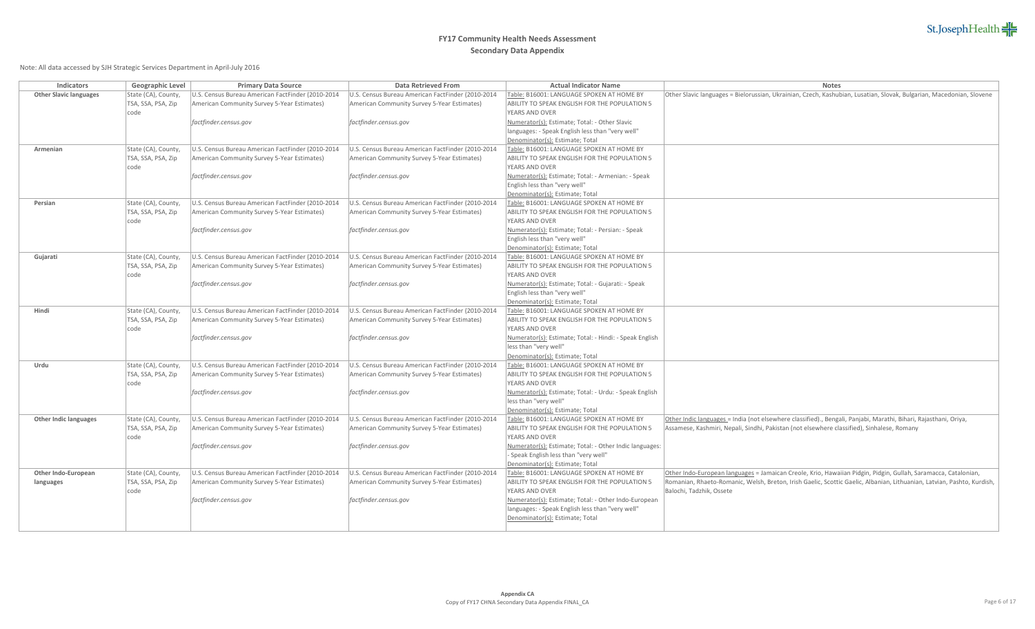| <b>Indicators</b>             | <b>Geographic Level</b> | <b>Primary Data Source</b>                        | <b>Data Retrieved From</b>                        | <b>Actual Indicator Name</b>                                                 | <b>Notes</b>                                                                                                           |
|-------------------------------|-------------------------|---------------------------------------------------|---------------------------------------------------|------------------------------------------------------------------------------|------------------------------------------------------------------------------------------------------------------------|
| <b>Other Slavic languages</b> | State (CA), County,     | J.S. Census Bureau American FactFinder (2010-2014 | U.S. Census Bureau American FactFinder (2010-2014 | Table: B16001: LANGUAGE SPOKEN AT HOME BY                                    | Other Slavic languages = Bielorussian, Ukrainian, Czech, Kashubian, Lusatian, Slovak, Bulgarian, Macedonian, Slovene   |
|                               | TSA, SSA, PSA, Zip      | American Community Survey 5-Year Estimates)       | American Community Survey 5-Year Estimates)       | ABILITY TO SPEAK ENGLISH FOR THE POPULATION 5                                |                                                                                                                        |
|                               | code                    |                                                   |                                                   | YEARS AND OVER                                                               |                                                                                                                        |
|                               |                         | factfinder.census.gov                             | factfinder.census.gov                             | Numerator(s): Estimate; Total: - Other Slavic                                |                                                                                                                        |
|                               |                         |                                                   |                                                   | languages: - Speak English less than "very well"                             |                                                                                                                        |
|                               |                         |                                                   |                                                   | Denominator(s): Estimate; Total                                              |                                                                                                                        |
| Armenian                      | State (CA), County,     | U.S. Census Bureau American FactFinder (2010-2014 | U.S. Census Bureau American FactFinder (2010-2014 | Table: B16001: LANGUAGE SPOKEN AT HOME BY                                    |                                                                                                                        |
|                               | TSA, SSA, PSA, Zip      | American Community Survey 5-Year Estimates)       | American Community Survey 5-Year Estimates)       | ABILITY TO SPEAK ENGLISH FOR THE POPULATION 5                                |                                                                                                                        |
|                               | code                    |                                                   |                                                   | <b>YEARS AND OVER</b>                                                        |                                                                                                                        |
|                               |                         | factfinder.census.gov                             | factfinder.census.gov                             | Numerator(s): Estimate; Total: - Armenian: - Speak                           |                                                                                                                        |
|                               |                         |                                                   |                                                   | English less than "very well"                                                |                                                                                                                        |
|                               |                         |                                                   |                                                   | Denominator(s): Estimate; Total                                              |                                                                                                                        |
| Persian                       | State (CA), County,     | U.S. Census Bureau American FactFinder (2010-2014 | U.S. Census Bureau American FactFinder (2010-2014 | Table: B16001: LANGUAGE SPOKEN AT HOME BY                                    |                                                                                                                        |
|                               | TSA, SSA, PSA, Zip      | American Community Survey 5-Year Estimates)       | American Community Survey 5-Year Estimates)       | ABILITY TO SPEAK ENGLISH FOR THE POPULATION 5                                |                                                                                                                        |
|                               | code                    |                                                   |                                                   | <b>YEARS AND OVER</b>                                                        |                                                                                                                        |
|                               |                         | factfinder.census.gov                             | factfinder.census.gov                             | Numerator(s): Estimate; Total: - Persian: - Speak                            |                                                                                                                        |
|                               |                         |                                                   |                                                   | English less than "very well"                                                |                                                                                                                        |
|                               |                         |                                                   |                                                   | Denominator(s): Estimate; Total                                              |                                                                                                                        |
| Gujarati                      | State (CA), County,     | U.S. Census Bureau American FactFinder (2010-2014 | U.S. Census Bureau American FactFinder (2010-2014 | Table: B16001: LANGUAGE SPOKEN AT HOME BY                                    |                                                                                                                        |
|                               | TSA, SSA, PSA, Zip      | American Community Survey 5-Year Estimates)       | American Community Survey 5-Year Estimates)       | ABILITY TO SPEAK ENGLISH FOR THE POPULATION 5                                |                                                                                                                        |
|                               | code                    |                                                   |                                                   | <b>YEARS AND OVER</b>                                                        |                                                                                                                        |
|                               |                         | factfinder.census.gov                             | factfinder.census.gov                             | Numerator(s): Estimate; Total: - Gujarati: - Speak                           |                                                                                                                        |
|                               |                         |                                                   |                                                   | English less than "very well"                                                |                                                                                                                        |
| Hindi                         | State (CA), County,     | U.S. Census Bureau American FactFinder (2010-2014 | U.S. Census Bureau American FactFinder (2010-2014 | Denominator(s): Estimate; Total<br>Table: B16001: LANGUAGE SPOKEN AT HOME BY |                                                                                                                        |
|                               | TSA, SSA, PSA, Zip      | American Community Survey 5-Year Estimates)       | American Community Survey 5-Year Estimates)       | ABILITY TO SPEAK ENGLISH FOR THE POPULATION 5                                |                                                                                                                        |
|                               | code                    |                                                   |                                                   | <b>YEARS AND OVER</b>                                                        |                                                                                                                        |
|                               |                         | factfinder.census.gov                             | factfinder.census.gov                             | Numerator(s): Estimate; Total: - Hindi: - Speak English                      |                                                                                                                        |
|                               |                         |                                                   |                                                   | less than "very well"                                                        |                                                                                                                        |
|                               |                         |                                                   |                                                   | Denominator(s): Estimate; Total                                              |                                                                                                                        |
| Urdu                          | State (CA), County,     | U.S. Census Bureau American FactFinder (2010-2014 | U.S. Census Bureau American FactFinder (2010-2014 | Table: B16001: LANGUAGE SPOKEN AT HOME BY                                    |                                                                                                                        |
|                               | TSA, SSA, PSA, Zip      | American Community Survey 5-Year Estimates)       | American Community Survey 5-Year Estimates)       | ABILITY TO SPEAK ENGLISH FOR THE POPULATION 5                                |                                                                                                                        |
|                               | code                    |                                                   |                                                   | <b>YEARS AND OVER</b>                                                        |                                                                                                                        |
|                               |                         | factfinder.census.gov                             | factfinder.census.gov                             | Numerator(s): Estimate; Total: - Urdu: - Speak English                       |                                                                                                                        |
|                               |                         |                                                   |                                                   | less than "very well"                                                        |                                                                                                                        |
|                               |                         |                                                   |                                                   | Denominator(s): Estimate; Total                                              |                                                                                                                        |
| <b>Other Indic languages</b>  | State (CA), County,     | U.S. Census Bureau American FactFinder (2010-2014 | U.S. Census Bureau American FactFinder (2010-2014 | Table: B16001: LANGUAGE SPOKEN AT HOME BY                                    | Other Indic languages = India (not elsewhere classified)., Bengali, Panjabi, Marathi, Bihari, Rajasthani, Oriya,       |
|                               | TSA, SSA, PSA, Zip      | American Community Survey 5-Year Estimates)       | American Community Survey 5-Year Estimates)       | <b>ABILITY TO SPEAK ENGLISH FOR THE POPULATION 5</b>                         | Assamese, Kashmiri, Nepali, Sindhi, Pakistan (not elsewhere classified), Sinhalese, Romany                             |
|                               | code                    |                                                   |                                                   | <b>YEARS AND OVER</b>                                                        |                                                                                                                        |
|                               |                         | factfinder.census.gov                             | factfinder.census.gov                             | Numerator(s): Estimate; Total: - Other Indic languages:                      |                                                                                                                        |
|                               |                         |                                                   |                                                   | - Speak English less than "very well"                                        |                                                                                                                        |
|                               |                         |                                                   |                                                   | Denominator(s): Estimate; Total                                              |                                                                                                                        |
| <b>Other Indo-European</b>    | State (CA), County,     | U.S. Census Bureau American FactFinder (2010-2014 | U.S. Census Bureau American FactFinder (2010-2014 | Table: B16001: LANGUAGE SPOKEN AT HOME BY                                    | Other Indo-European languages = Jamaican Creole, Krio, Hawaiian Pidgin, Pidgin, Gullah, Saramacca, Catalonian,         |
| languages                     | TSA, SSA, PSA, Zip      | American Community Survey 5-Year Estimates)       | American Community Survey 5-Year Estimates)       | ABILITY TO SPEAK ENGLISH FOR THE POPULATION 5                                | Romanian, Rhaeto-Romanic, Welsh, Breton, Irish Gaelic, Scottic Gaelic, Albanian, Lithuanian, Latvian, Pashto, Kurdish, |
|                               | code                    |                                                   |                                                   | <b>YEARS AND OVER</b>                                                        | Balochi, Tadzhik, Ossete                                                                                               |
|                               |                         | factfinder.census.gov                             | factfinder.census.gov                             | Numerator(s): Estimate; Total: - Other Indo-European                         |                                                                                                                        |
|                               |                         |                                                   |                                                   | languages: - Speak English less than "very well"                             |                                                                                                                        |
|                               |                         |                                                   |                                                   | Denominator(s): Estimate; Total                                              |                                                                                                                        |
|                               |                         |                                                   |                                                   |                                                                              |                                                                                                                        |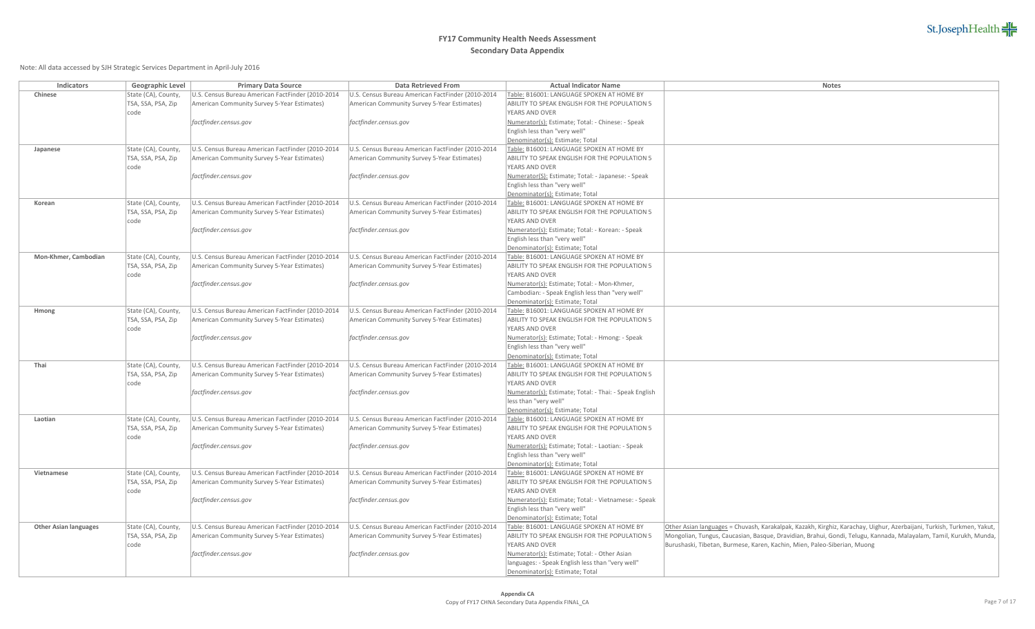| <b>Indicators</b>            | <b>Geographic Level</b>                   | <b>Primary Data Source</b>                        | <b>Data Retrieved From</b>                                                                       | <b>Actual Indicator Name</b>                                                 | <b>Notes</b>                                                                                                          |
|------------------------------|-------------------------------------------|---------------------------------------------------|--------------------------------------------------------------------------------------------------|------------------------------------------------------------------------------|-----------------------------------------------------------------------------------------------------------------------|
| <b>Chinese</b>               | State (CA), County,                       | J.S. Census Bureau American FactFinder (2010-2014 | U.S. Census Bureau American FactFinder (2010-2014                                                | Table: B16001: LANGUAGE SPOKEN AT HOME BY                                    |                                                                                                                       |
|                              | TSA, SSA, PSA, Zip                        | American Community Survey 5-Year Estimates)       | American Community Survey 5-Year Estimates)                                                      | ABILITY TO SPEAK ENGLISH FOR THE POPULATION 5                                |                                                                                                                       |
|                              | code                                      |                                                   |                                                                                                  | <b>YEARS AND OVER</b>                                                        |                                                                                                                       |
|                              |                                           | factfinder.census.gov                             | factfinder.census.gov                                                                            | Numerator(s): Estimate; Total: - Chinese: - Speak                            |                                                                                                                       |
|                              |                                           |                                                   |                                                                                                  | English less than "very well"                                                |                                                                                                                       |
|                              |                                           |                                                   |                                                                                                  | Denominator(s): Estimate; Total                                              |                                                                                                                       |
| Japanese                     | State (CA), County,                       | U.S. Census Bureau American FactFinder (2010-2014 | U.S. Census Bureau American FactFinder (2010-2014                                                | Table: B16001: LANGUAGE SPOKEN AT HOME BY                                    |                                                                                                                       |
|                              | TSA, SSA, PSA, Zip                        | American Community Survey 5-Year Estimates)       | American Community Survey 5-Year Estimates)                                                      | ABILITY TO SPEAK ENGLISH FOR THE POPULATION 5                                |                                                                                                                       |
|                              | code                                      |                                                   |                                                                                                  | <b>YEARS AND OVER</b>                                                        |                                                                                                                       |
|                              |                                           | factfinder.census.gov                             | factfinder.census.gov                                                                            | Numerator(S): Estimate; Total: - Japanese: - Speak                           |                                                                                                                       |
|                              |                                           |                                                   |                                                                                                  | English less than "very well"                                                |                                                                                                                       |
|                              |                                           |                                                   |                                                                                                  | Denominator(s): Estimate; Total                                              |                                                                                                                       |
| Korean                       | State (CA), County,                       | U.S. Census Bureau American FactFinder (2010-2014 | U.S. Census Bureau American FactFinder (2010-2014                                                | Table: B16001: LANGUAGE SPOKEN AT HOME BY                                    |                                                                                                                       |
|                              | TSA, SSA, PSA, Zip                        | American Community Survey 5-Year Estimates)       | American Community Survey 5-Year Estimates)                                                      | ABILITY TO SPEAK ENGLISH FOR THE POPULATION 5                                |                                                                                                                       |
|                              | code                                      |                                                   |                                                                                                  | YEARS AND OVER                                                               |                                                                                                                       |
|                              |                                           | factfinder.census.gov                             | factfinder.census.gov                                                                            | Numerator(s): Estimate; Total: - Korean: - Speak                             |                                                                                                                       |
|                              |                                           |                                                   |                                                                                                  | English less than "very well"                                                |                                                                                                                       |
|                              |                                           |                                                   |                                                                                                  | Denominator(s): Estimate; Total                                              |                                                                                                                       |
| Mon-Khmer, Cambodian         | State (CA), County,                       | J.S. Census Bureau American FactFinder (2010-2014 | U.S. Census Bureau American FactFinder (2010-2014                                                | Table: B16001: LANGUAGE SPOKEN AT HOME BY                                    |                                                                                                                       |
|                              | TSA, SSA, PSA, Zip                        | American Community Survey 5-Year Estimates)       | American Community Survey 5-Year Estimates)                                                      | ABILITY TO SPEAK ENGLISH FOR THE POPULATION 5                                |                                                                                                                       |
|                              | code                                      |                                                   |                                                                                                  | <b>YEARS AND OVER</b>                                                        |                                                                                                                       |
|                              |                                           | factfinder.census.gov                             | factfinder.census.gov                                                                            | Numerator(s): Estimate; Total: - Mon-Khmer,                                  |                                                                                                                       |
|                              |                                           |                                                   |                                                                                                  | Cambodian: - Speak English less than "very well"                             |                                                                                                                       |
|                              |                                           |                                                   |                                                                                                  | Denominator(s): Estimate; Total                                              |                                                                                                                       |
| Hmong                        | State (CA), County,                       | U.S. Census Bureau American FactFinder (2010-2014 | U.S. Census Bureau American FactFinder (2010-2014                                                | Table: B16001: LANGUAGE SPOKEN AT HOME BY                                    |                                                                                                                       |
|                              | TSA, SSA, PSA, Zip                        | American Community Survey 5-Year Estimates)       | American Community Survey 5-Year Estimates)                                                      | ABILITY TO SPEAK ENGLISH FOR THE POPULATION 5                                |                                                                                                                       |
|                              | code                                      |                                                   |                                                                                                  | <b>YEARS AND OVER</b>                                                        |                                                                                                                       |
|                              |                                           | factfinder.census.gov                             | factfinder.census.gov                                                                            | Numerator(s): Estimate; Total: - Hmong: - Speak                              |                                                                                                                       |
|                              |                                           |                                                   |                                                                                                  | English less than "very well"                                                |                                                                                                                       |
| Thai                         |                                           | U.S. Census Bureau American FactFinder (2010-2014 |                                                                                                  | Denominator(s): Estimate; Total<br>Table: B16001: LANGUAGE SPOKEN AT HOME BY |                                                                                                                       |
|                              | State (CA), County,<br>TSA, SSA, PSA, Zip | American Community Survey 5-Year Estimates)       | U.S. Census Bureau American FactFinder (2010-2014<br>American Community Survey 5-Year Estimates) | <b>ABILITY TO SPEAK ENGLISH FOR THE POPULATION 5</b>                         |                                                                                                                       |
|                              | code                                      |                                                   |                                                                                                  | <b>YEARS AND OVER</b>                                                        |                                                                                                                       |
|                              |                                           | factfinder.census.gov                             | factfinder.census.gov                                                                            | Numerator(s): Estimate; Total: - Thai: - Speak English                       |                                                                                                                       |
|                              |                                           |                                                   |                                                                                                  | less than "very well"                                                        |                                                                                                                       |
|                              |                                           |                                                   |                                                                                                  | Denominator(s): Estimate; Total                                              |                                                                                                                       |
| Laotian                      | State (CA), County,                       | J.S. Census Bureau American FactFinder (2010-2014 | U.S. Census Bureau American FactFinder (2010-2014                                                | Table: B16001: LANGUAGE SPOKEN AT HOME BY                                    |                                                                                                                       |
|                              | TSA, SSA, PSA, Zip                        | American Community Survey 5-Year Estimates)       | American Community Survey 5-Year Estimates)                                                      | ABILITY TO SPEAK ENGLISH FOR THE POPULATION 5                                |                                                                                                                       |
|                              | code                                      |                                                   |                                                                                                  | <b>YEARS AND OVER</b>                                                        |                                                                                                                       |
|                              |                                           | factfinder.census.gov                             | factfinder.census.gov                                                                            | Numerator(s): Estimate; Total: - Laotian: - Speak                            |                                                                                                                       |
|                              |                                           |                                                   |                                                                                                  | English less than "very well"                                                |                                                                                                                       |
|                              |                                           |                                                   |                                                                                                  | Denominator(s): Estimate; Total                                              |                                                                                                                       |
| Vietnamese                   | State (CA), County,                       | U.S. Census Bureau American FactFinder (2010-2014 | U.S. Census Bureau American FactFinder (2010-2014                                                | Table: B16001: LANGUAGE SPOKEN AT HOME BY                                    |                                                                                                                       |
|                              | TSA, SSA, PSA, Zip                        | American Community Survey 5-Year Estimates)       | American Community Survey 5-Year Estimates)                                                      | ABILITY TO SPEAK ENGLISH FOR THE POPULATION 5                                |                                                                                                                       |
|                              | code                                      |                                                   |                                                                                                  | <b>YEARS AND OVER</b>                                                        |                                                                                                                       |
|                              |                                           | factfinder.census.gov                             | factfinder.census.gov                                                                            | Numerator(s): Estimate; Total: - Vietnamese: - Speak                         |                                                                                                                       |
|                              |                                           |                                                   |                                                                                                  | English less than "very well"                                                |                                                                                                                       |
|                              |                                           |                                                   |                                                                                                  | Denominator(s): Estimate; Total                                              |                                                                                                                       |
| <b>Other Asian languages</b> | State (CA), County,                       | U.S. Census Bureau American FactFinder (2010-2014 | U.S. Census Bureau American FactFinder (2010-2014                                                | Table: B16001: LANGUAGE SPOKEN AT HOME BY                                    | Other Asian languages = Chuvash, Karakalpak, Kazakh, Kirghiz, Karachay, Uighur, Azerbaijani, Turkish, Turkmen, Yakut, |
|                              | TSA, SSA, PSA, Zip                        | American Community Survey 5-Year Estimates)       | American Community Survey 5-Year Estimates)                                                      | ABILITY TO SPEAK ENGLISH FOR THE POPULATION 5                                | Mongolian, Tungus, Caucasian, Basque, Dravidian, Brahui, Gondi, Telugu, Kannada, Malayalam, Tamil, Kurukh, Munda,     |
|                              | code                                      |                                                   |                                                                                                  | <b>YEARS AND OVER</b>                                                        | Burushaski, Tibetan, Burmese, Karen, Kachin, Mien, Paleo-Siberian, Muong                                              |
|                              |                                           | factfinder.census.gov                             | factfinder.census.gov                                                                            | Numerator(s): Estimate; Total: - Other Asian                                 |                                                                                                                       |
|                              |                                           |                                                   |                                                                                                  | languages: - Speak English less than "very well"                             |                                                                                                                       |
|                              |                                           |                                                   |                                                                                                  | Denominator(s): Estimate; Total                                              |                                                                                                                       |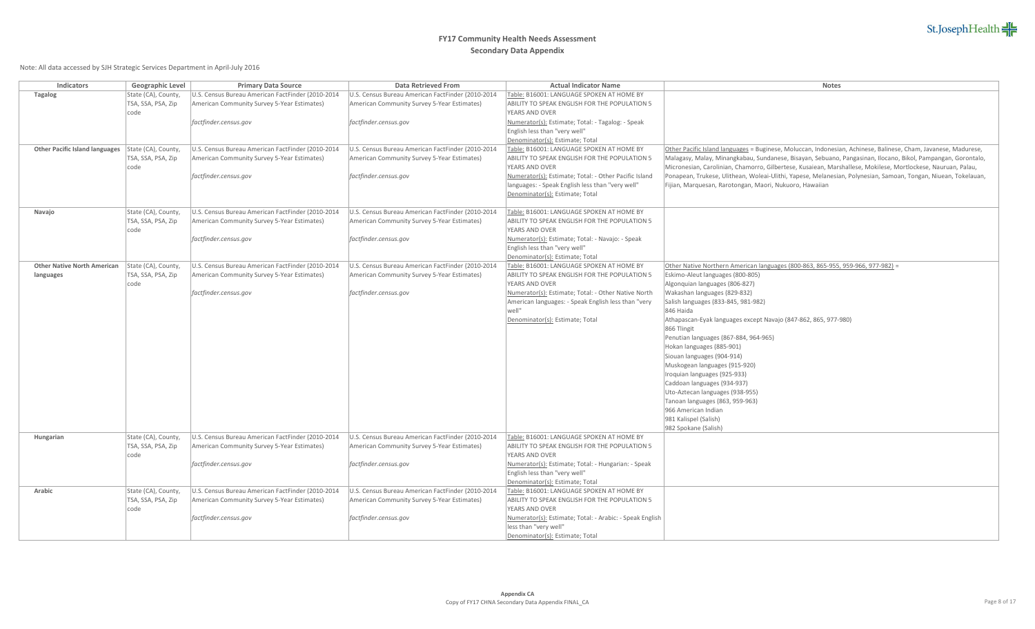| <b>Indicators</b>                               | <b>Geographic Level</b>                   | <b>Primary Data Source</b>                                                                       | <b>Data Retrieved From</b>                                                                       | <b>Actual Indicator Name</b>                                                               | <b>Notes</b>                                                                                                                                                                                                                   |
|-------------------------------------------------|-------------------------------------------|--------------------------------------------------------------------------------------------------|--------------------------------------------------------------------------------------------------|--------------------------------------------------------------------------------------------|--------------------------------------------------------------------------------------------------------------------------------------------------------------------------------------------------------------------------------|
| <b>Tagalog</b>                                  | State (CA), County,                       | U.S. Census Bureau American FactFinder (2010-2014                                                | U.S. Census Bureau American FactFinder (2010-2014                                                | Table: B16001: LANGUAGE SPOKEN AT HOME BY                                                  |                                                                                                                                                                                                                                |
|                                                 | TSA, SSA, PSA, Zip                        | American Community Survey 5-Year Estimates)                                                      | American Community Survey 5-Year Estimates)                                                      | ABILITY TO SPEAK ENGLISH FOR THE POPULATION 5                                              |                                                                                                                                                                                                                                |
|                                                 | code                                      |                                                                                                  |                                                                                                  | YEARS AND OVER                                                                             |                                                                                                                                                                                                                                |
|                                                 |                                           | factfinder.census.gov                                                                            | factfinder.census.gov                                                                            | Numerator(s): Estimate; Total: - Tagalog: - Speak                                          |                                                                                                                                                                                                                                |
|                                                 |                                           |                                                                                                  |                                                                                                  | English less than "very well"                                                              |                                                                                                                                                                                                                                |
|                                                 |                                           |                                                                                                  |                                                                                                  | Denominator(s): Estimate; Total                                                            |                                                                                                                                                                                                                                |
| <b>Other Pacific Island languages</b>           | State (CA), County,<br>TSA, SSA, PSA, Zip | U.S. Census Bureau American FactFinder (2010-2014<br>American Community Survey 5-Year Estimates) | U.S. Census Bureau American FactFinder (2010-2014<br>American Community Survey 5-Year Estimates) | Table: B16001: LANGUAGE SPOKEN AT HOME BY<br>ABILITY TO SPEAK ENGLISH FOR THE POPULATION 5 | Other Pacific Island languages = Buginese, Moluccan, Indonesian, Achinese, Balinese, Cham, Javanese, Madurese,<br>Malagasy, Malay, Minangkabau, Sundanese, Bisayan, Sebuano, Pangasinan, Ilocano, Bikol, Pampangan, Gorontalo, |
|                                                 | code                                      |                                                                                                  |                                                                                                  | YEARS AND OVER                                                                             | Micronesian, Carolinian, Chamorro, Gilbertese, Kusaiean, Marshallese, Mokilese, Mortlockese, Nauruan, Palau,                                                                                                                   |
|                                                 |                                           | factfinder.census.gov                                                                            | factfinder.census.gov                                                                            | Numerator(s): Estimate; Total: - Other Pacific Island                                      | Ponapean, Trukese, Ulithean, Woleai-Ulithi, Yapese, Melanesian, Polynesian, Samoan, Tongan, Niuean, Tokelauan,                                                                                                                 |
|                                                 |                                           |                                                                                                  |                                                                                                  | languages: - Speak English less than "very well"                                           | Fijian, Marquesan, Rarotongan, Maori, Nukuoro, Hawaiian                                                                                                                                                                        |
|                                                 |                                           |                                                                                                  |                                                                                                  | Denominator(s): Estimate; Total                                                            |                                                                                                                                                                                                                                |
|                                                 |                                           |                                                                                                  |                                                                                                  |                                                                                            |                                                                                                                                                                                                                                |
| Navajo                                          | State (CA), County,                       | U.S. Census Bureau American FactFinder (2010-2014                                                | U.S. Census Bureau American FactFinder (2010-2014                                                | Table: B16001: LANGUAGE SPOKEN AT HOME BY                                                  |                                                                                                                                                                                                                                |
|                                                 | TSA, SSA, PSA, Zip                        | American Community Survey 5-Year Estimates)                                                      | American Community Survey 5-Year Estimates)                                                      | ABILITY TO SPEAK ENGLISH FOR THE POPULATION 5                                              |                                                                                                                                                                                                                                |
|                                                 | code                                      |                                                                                                  |                                                                                                  | YEARS AND OVER                                                                             |                                                                                                                                                                                                                                |
|                                                 |                                           | factfinder.census.gov                                                                            | factfinder.census.gov                                                                            | Numerator(s): Estimate; Total: - Navajo: - Speak                                           |                                                                                                                                                                                                                                |
|                                                 |                                           |                                                                                                  |                                                                                                  | English less than "very well"                                                              |                                                                                                                                                                                                                                |
|                                                 |                                           |                                                                                                  | U.S. Census Bureau American FactFinder (2010-2014                                                | Denominator(s): Estimate; Total                                                            |                                                                                                                                                                                                                                |
| <b>Other Native North American</b><br>languages | State (CA), County,<br>TSA, SSA, PSA, Zip | U.S. Census Bureau American FactFinder (2010-2014<br>American Community Survey 5-Year Estimates) | American Community Survey 5-Year Estimates)                                                      | Table: B16001: LANGUAGE SPOKEN AT HOME BY<br>ABILITY TO SPEAK ENGLISH FOR THE POPULATION 5 | Other Native Northern American languages (800-863, 865-955, 959-966, 977-982) =<br>Eskimo-Aleut languages (800-805)                                                                                                            |
|                                                 | code                                      |                                                                                                  |                                                                                                  | <b>YEARS AND OVER</b>                                                                      | Algonquian languages (806-827)                                                                                                                                                                                                 |
|                                                 |                                           | factfinder.census.gov                                                                            | factfinder.census.gov                                                                            | Numerator(s): Estimate; Total: - Other Native North                                        | Wakashan languages (829-832)                                                                                                                                                                                                   |
|                                                 |                                           |                                                                                                  |                                                                                                  | American languages: - Speak English less than "very                                        | Salish languages (833-845, 981-982)                                                                                                                                                                                            |
|                                                 |                                           |                                                                                                  |                                                                                                  | well"                                                                                      | 846 Haida                                                                                                                                                                                                                      |
|                                                 |                                           |                                                                                                  |                                                                                                  | Denominator(s): Estimate; Total                                                            | Athapascan-Eyak languages except Navajo (847-862, 865, 977-980)                                                                                                                                                                |
|                                                 |                                           |                                                                                                  |                                                                                                  |                                                                                            | 866 Tlingit                                                                                                                                                                                                                    |
|                                                 |                                           |                                                                                                  |                                                                                                  |                                                                                            | Penutian languages (867-884, 964-965)                                                                                                                                                                                          |
|                                                 |                                           |                                                                                                  |                                                                                                  |                                                                                            | Hokan languages (885-901)                                                                                                                                                                                                      |
|                                                 |                                           |                                                                                                  |                                                                                                  |                                                                                            | Siouan languages (904-914)                                                                                                                                                                                                     |
|                                                 |                                           |                                                                                                  |                                                                                                  |                                                                                            | Muskogean languages (915-920)                                                                                                                                                                                                  |
|                                                 |                                           |                                                                                                  |                                                                                                  |                                                                                            | Iroquian languages (925-933)                                                                                                                                                                                                   |
|                                                 |                                           |                                                                                                  |                                                                                                  |                                                                                            | Caddoan languages (934-937)                                                                                                                                                                                                    |
|                                                 |                                           |                                                                                                  |                                                                                                  |                                                                                            | Uto-Aztecan languages (938-955)<br>Tanoan languages (863, 959-963)                                                                                                                                                             |
|                                                 |                                           |                                                                                                  |                                                                                                  |                                                                                            | 966 American Indian                                                                                                                                                                                                            |
|                                                 |                                           |                                                                                                  |                                                                                                  |                                                                                            | 981 Kalispel (Salish)                                                                                                                                                                                                          |
|                                                 |                                           |                                                                                                  |                                                                                                  |                                                                                            | 982 Spokane (Salish)                                                                                                                                                                                                           |
| Hungarian                                       | State (CA), County,                       | U.S. Census Bureau American FactFinder (2010-2014                                                | U.S. Census Bureau American FactFinder (2010-2014                                                | Table: B16001: LANGUAGE SPOKEN AT HOME BY                                                  |                                                                                                                                                                                                                                |
|                                                 | TSA, SSA, PSA, Zip                        | American Community Survey 5-Year Estimates)                                                      | American Community Survey 5-Year Estimates)                                                      | ABILITY TO SPEAK ENGLISH FOR THE POPULATION 5                                              |                                                                                                                                                                                                                                |
|                                                 | code                                      |                                                                                                  |                                                                                                  | YEARS AND OVER                                                                             |                                                                                                                                                                                                                                |
|                                                 |                                           | factfinder.census.gov                                                                            | factfinder.census.gov                                                                            | Numerator(s): Estimate; Total: - Hungarian: - Speak                                        |                                                                                                                                                                                                                                |
|                                                 |                                           |                                                                                                  |                                                                                                  | English less than "very well"                                                              |                                                                                                                                                                                                                                |
|                                                 |                                           |                                                                                                  |                                                                                                  | Denominator(s): Estimate; Total                                                            |                                                                                                                                                                                                                                |
| <b>Arabic</b>                                   | State (CA), County,                       | U.S. Census Bureau American FactFinder (2010-2014                                                | U.S. Census Bureau American FactFinder (2010-2014                                                | Table: B16001: LANGUAGE SPOKEN AT HOME BY                                                  |                                                                                                                                                                                                                                |
|                                                 | TSA, SSA, PSA, Zip                        | American Community Survey 5-Year Estimates)                                                      | American Community Survey 5-Year Estimates)                                                      | ABILITY TO SPEAK ENGLISH FOR THE POPULATION 5<br>YEARS AND OVER                            |                                                                                                                                                                                                                                |
|                                                 | code                                      | factfinder.census.gov                                                                            | factfinder.census.gov                                                                            | Numerator(s): Estimate; Total: - Arabic: - Speak English                                   |                                                                                                                                                                                                                                |
|                                                 |                                           |                                                                                                  |                                                                                                  | less than "very well"                                                                      |                                                                                                                                                                                                                                |
|                                                 |                                           |                                                                                                  |                                                                                                  | Denominator(s): Estimate; Total                                                            |                                                                                                                                                                                                                                |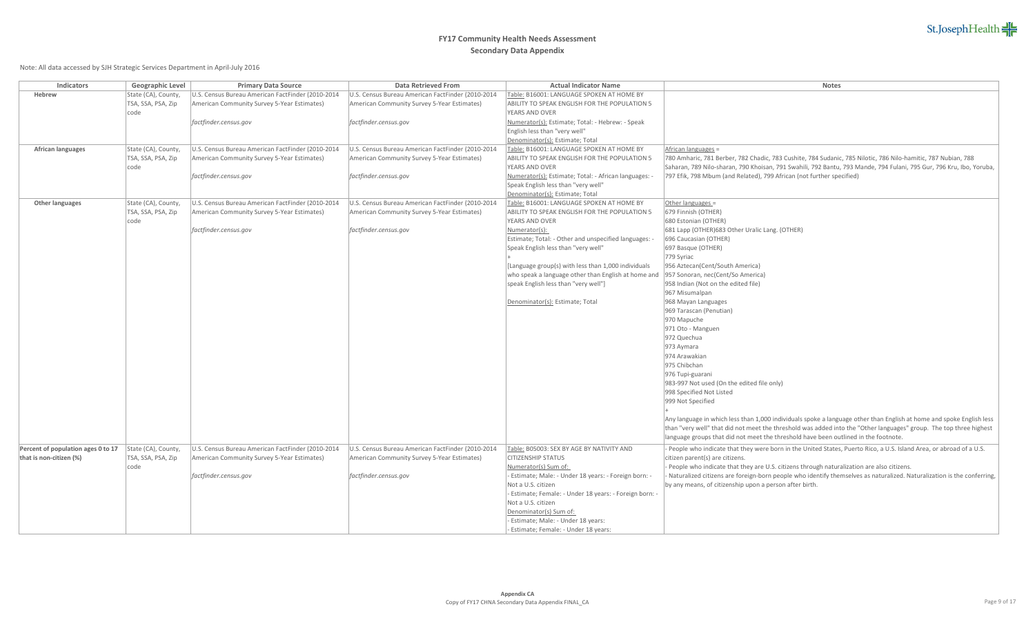| <b>Indicators</b>                  | <b>Geographic Level</b> | <b>Primary Data Source</b>                        | <b>Data Retrieved From</b>                        | <b>Actual Indicator Name</b>                                                  | <b>Notes</b>                                                                                                                                                                                                          |
|------------------------------------|-------------------------|---------------------------------------------------|---------------------------------------------------|-------------------------------------------------------------------------------|-----------------------------------------------------------------------------------------------------------------------------------------------------------------------------------------------------------------------|
| <b>Hebrew</b>                      | State (CA), County,     | J.S. Census Bureau American FactFinder (2010-2014 | U.S. Census Bureau American FactFinder (2010-2014 | Table: B16001: LANGUAGE SPOKEN AT HOME BY                                     |                                                                                                                                                                                                                       |
|                                    | TSA, SSA, PSA, Zip      | American Community Survey 5-Year Estimates)       | American Community Survey 5-Year Estimates)       | ABILITY TO SPEAK ENGLISH FOR THE POPULATION 5                                 |                                                                                                                                                                                                                       |
|                                    | code                    |                                                   |                                                   | YEARS AND OVER                                                                |                                                                                                                                                                                                                       |
|                                    |                         | factfinder.census.gov                             | factfinder.census.gov                             | Numerator(s): Estimate; Total: - Hebrew: - Speak                              |                                                                                                                                                                                                                       |
|                                    |                         |                                                   |                                                   | English less than "very well"                                                 |                                                                                                                                                                                                                       |
|                                    |                         |                                                   |                                                   | Denominator(s): Estimate; Total                                               |                                                                                                                                                                                                                       |
| <b>African languages</b>           | State (CA), County,     | U.S. Census Bureau American FactFinder (2010-2014 | U.S. Census Bureau American FactFinder (2010-2014 | Table: B16001: LANGUAGE SPOKEN AT HOME BY                                     | African languages =                                                                                                                                                                                                   |
|                                    | TSA, SSA, PSA, Zip      | American Community Survey 5-Year Estimates)       | American Community Survey 5-Year Estimates)       | ABILITY TO SPEAK ENGLISH FOR THE POPULATION 5                                 | 780 Amharic, 781 Berber, 782 Chadic, 783 Cushite, 784 Sudanic, 785 Nilotic, 786 Nilo-hamitic, 787 Nubian, 788                                                                                                         |
|                                    | code                    |                                                   |                                                   | YEARS AND OVER                                                                | Saharan, 789 Nilo-sharan, 790 Khoisan, 791 Swahili, 792 Bantu, 793 Mande, 794 Fulani, 795 Gur, 796 Kru, Ibo, Yoruba,                                                                                                  |
|                                    |                         | factfinder.census.gov                             | factfinder.census.gov                             | Numerator(s): Estimate; Total: - African languages:                           | 797 Efik, 798 Mbum (and Related), 799 African (not further specified)                                                                                                                                                 |
|                                    |                         |                                                   |                                                   | Speak English less than "very well"                                           |                                                                                                                                                                                                                       |
|                                    |                         |                                                   |                                                   | Denominator(s): Estimate; Total                                               |                                                                                                                                                                                                                       |
| <b>Other languages</b>             | State (CA), County,     | U.S. Census Bureau American FactFinder (2010-2014 | U.S. Census Bureau American FactFinder (2010-2014 | Table: B16001: LANGUAGE SPOKEN AT HOME BY                                     | Other languages =                                                                                                                                                                                                     |
|                                    | TSA, SSA, PSA, Zip      | American Community Survey 5-Year Estimates)       | American Community Survey 5-Year Estimates)       | ABILITY TO SPEAK ENGLISH FOR THE POPULATION 5                                 | 679 Finnish (OTHER)                                                                                                                                                                                                   |
|                                    | code                    |                                                   |                                                   | YEARS AND OVER                                                                | 680 Estonian (OTHER)                                                                                                                                                                                                  |
|                                    |                         | factfinder.census.gov                             | factfinder.census.gov                             | Numerator(s):                                                                 | 681 Lapp (OTHER) 683 Other Uralic Lang. (OTHER)                                                                                                                                                                       |
|                                    |                         |                                                   |                                                   | Estimate; Total: - Other and unspecified languages:                           | 696 Caucasian (OTHER)                                                                                                                                                                                                 |
|                                    |                         |                                                   |                                                   | Speak English less than "very well"                                           | 697 Basque (OTHER)                                                                                                                                                                                                    |
|                                    |                         |                                                   |                                                   |                                                                               | 779 Syriac                                                                                                                                                                                                            |
|                                    |                         |                                                   |                                                   | [Language group(s) with less than 1,000 individuals                           | 956 Aztecan(Cent/South America)                                                                                                                                                                                       |
|                                    |                         |                                                   |                                                   | who speak a language other than English at home and                           | 957 Sonoran, nec(Cent/So America)                                                                                                                                                                                     |
|                                    |                         |                                                   |                                                   | speak English less than "very well"]                                          | 958 Indian (Not on the edited file)                                                                                                                                                                                   |
|                                    |                         |                                                   |                                                   |                                                                               | 967 Misumalpan                                                                                                                                                                                                        |
|                                    |                         |                                                   |                                                   | Denominator(s): Estimate; Total                                               | 968 Mayan Languages                                                                                                                                                                                                   |
|                                    |                         |                                                   |                                                   |                                                                               | 969 Tarascan (Penutian)                                                                                                                                                                                               |
|                                    |                         |                                                   |                                                   |                                                                               | 970 Mapuche                                                                                                                                                                                                           |
|                                    |                         |                                                   |                                                   |                                                                               | 971 Oto - Manguen                                                                                                                                                                                                     |
|                                    |                         |                                                   |                                                   |                                                                               | 972 Quechua                                                                                                                                                                                                           |
|                                    |                         |                                                   |                                                   |                                                                               | 973 Aymara                                                                                                                                                                                                            |
|                                    |                         |                                                   |                                                   |                                                                               | 974 Arawakian                                                                                                                                                                                                         |
|                                    |                         |                                                   |                                                   |                                                                               | 975 Chibchan                                                                                                                                                                                                          |
|                                    |                         |                                                   |                                                   |                                                                               | 976 Tupi-guarani                                                                                                                                                                                                      |
|                                    |                         |                                                   |                                                   |                                                                               | 983-997 Not used (On the edited file only)<br>998 Specified Not Listed                                                                                                                                                |
|                                    |                         |                                                   |                                                   |                                                                               | 999 Not Specified                                                                                                                                                                                                     |
|                                    |                         |                                                   |                                                   |                                                                               |                                                                                                                                                                                                                       |
|                                    |                         |                                                   |                                                   |                                                                               | Any language in which less than 1,000 individuals spoke a language other than English at home and spoke English less                                                                                                  |
|                                    |                         |                                                   |                                                   |                                                                               | than "very well" that did not meet the threshold was added into the "Other languages" group. The top three highest                                                                                                    |
|                                    |                         |                                                   |                                                   |                                                                               | language groups that did not meet the threshold have been outlined in the footnote.                                                                                                                                   |
|                                    |                         |                                                   |                                                   |                                                                               |                                                                                                                                                                                                                       |
| Percent of population ages 0 to 17 | State (CA), County,     | U.S. Census Bureau American FactFinder (2010-2014 | U.S. Census Bureau American FactFinder (2010-2014 | Table: B05003: SEX BY AGE BY NATIVITY AND                                     | - People who indicate that they were born in the United States, Puerto Rico, a U.S. Island Area, or abroad of a U.S.                                                                                                  |
| that is non-citizen (%)            | TSA, SSA, PSA, Zip      | American Community Survey 5-Year Estimates)       | American Community Survey 5-Year Estimates)       | <b>CITIZENSHIP STATUS</b>                                                     | citizen parent(s) are citizens.                                                                                                                                                                                       |
|                                    | code                    | factfinder.census.gov                             | factfinder.census.gov                             | Numerator(s) Sum of:<br>- Estimate; Male: - Under 18 years: - Foreign born: - | - People who indicate that they are U.S. citizens through naturalization are also citizens.<br>Naturalized citizens are foreign-born people who identify themselves as naturalized. Naturalization is the conferring, |
|                                    |                         |                                                   |                                                   | Not a U.S. citizen                                                            | by any means, of citizenship upon a person after birth.                                                                                                                                                               |
|                                    |                         |                                                   |                                                   | - Estimate; Female: - Under 18 years: - Foreign born: -                       |                                                                                                                                                                                                                       |
|                                    |                         |                                                   |                                                   | Not a U.S. citizen                                                            |                                                                                                                                                                                                                       |
|                                    |                         |                                                   |                                                   | Denominator(s) Sum of:                                                        |                                                                                                                                                                                                                       |
|                                    |                         |                                                   |                                                   | - Estimate; Male: - Under 18 years:                                           |                                                                                                                                                                                                                       |
|                                    |                         |                                                   |                                                   | - Estimate; Female: - Under 18 years:                                         |                                                                                                                                                                                                                       |
|                                    |                         |                                                   |                                                   |                                                                               |                                                                                                                                                                                                                       |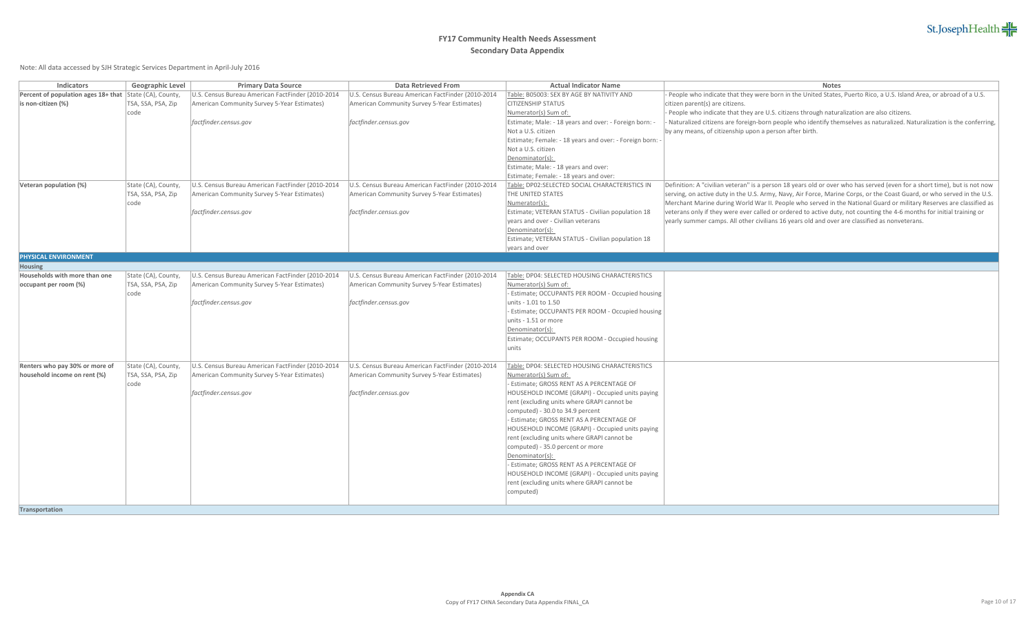| <b>Indicators</b>                                              | <b>Geographic Level</b> | <b>Primary Data Source</b>                        | <b>Data Retrieved From</b>                        | <b>Actual Indicator Name</b>                           | <b>Notes</b>                                                                                                             |
|----------------------------------------------------------------|-------------------------|---------------------------------------------------|---------------------------------------------------|--------------------------------------------------------|--------------------------------------------------------------------------------------------------------------------------|
| <b>Percent of population ages 18+ that State (CA), County,</b> |                         | J.S. Census Bureau American FactFinder (2010-2014 | U.S. Census Bureau American FactFinder (2010-2014 | Table: B05003: SEX BY AGE BY NATIVITY AND              | - People who indicate that they were born in the United States, Puerto Rico, a U.S. Island Area, or abroad of a U.S.     |
| $\vert$ is non-citizen (%)                                     | TSA, SSA, PSA, Zip      | American Community Survey 5-Year Estimates)       | American Community Survey 5-Year Estimates)       | <b>CITIZENSHIP STATUS</b>                              | citizen parent(s) are citizens.                                                                                          |
|                                                                | code                    |                                                   |                                                   | Numerator(s) Sum of:                                   | - People who indicate that they are U.S. citizens through naturalization are also citizens.                              |
|                                                                |                         | factfinder.census.gov                             | factfinder.census.gov                             | Estimate; Male: - 18 years and over: - Foreign born:   | Naturalized citizens are foreign-born people who identify themselves as naturalized. Naturalization is the conferring,   |
|                                                                |                         |                                                   |                                                   | Not a U.S. citizen                                     | by any means, of citizenship upon a person after birth.                                                                  |
|                                                                |                         |                                                   |                                                   | Estimate; Female: - 18 years and over: - Foreign born: |                                                                                                                          |
|                                                                |                         |                                                   |                                                   | Not a U.S. citizen                                     |                                                                                                                          |
|                                                                |                         |                                                   |                                                   | Denominator(s):                                        |                                                                                                                          |
|                                                                |                         |                                                   |                                                   | Estimate; Male: - 18 years and over:                   |                                                                                                                          |
|                                                                |                         |                                                   |                                                   | Estimate; Female: - 18 years and over:                 |                                                                                                                          |
| Veteran population (%)                                         | State (CA), County,     | U.S. Census Bureau American FactFinder (2010-2014 | U.S. Census Bureau American FactFinder (2010-2014 | Table: DP02:SELECTED SOCIAL CHARACTERISTICS IN         | Definition: A "civilian veteran" is a person 18 years old or over who has served (even for a short time), but is not now |
|                                                                | TSA, SSA, PSA, Zip      | American Community Survey 5-Year Estimates)       | American Community Survey 5-Year Estimates)       | THE UNITED STATES                                      | serving, on active duty in the U.S. Army, Navy, Air Force, Marine Corps, or the Coast Guard, or who served in the U.S.   |
|                                                                | code                    |                                                   |                                                   | Numerator(s):                                          | Merchant Marine during World War II. People who served in the National Guard or military Reserves are classified as      |
|                                                                |                         | factfinder.census.gov                             | factfinder.census.gov                             | Estimate; VETERAN STATUS - Civilian population 18      | veterans only if they were ever called or ordered to active duty, not counting the 4-6 months for initial training or    |
|                                                                |                         |                                                   |                                                   | years and over - Civilian veterans                     | yearly summer camps. All other civilians 16 years old and over are classified as nonveterans.                            |
|                                                                |                         |                                                   |                                                   | Denominator(s):                                        |                                                                                                                          |
|                                                                |                         |                                                   |                                                   | Estimate; VETERAN STATUS - Civilian population 18      |                                                                                                                          |
|                                                                |                         |                                                   |                                                   | years and over                                         |                                                                                                                          |
| <b>PHYSICAL ENVIRONMENT</b>                                    |                         |                                                   |                                                   |                                                        |                                                                                                                          |
| <b>Housing</b>                                                 |                         |                                                   |                                                   |                                                        |                                                                                                                          |
| Households with more than one                                  | State (CA), County,     | U.S. Census Bureau American FactFinder (2010-2014 | U.S. Census Bureau American FactFinder (2010-2014 | Table: DP04: SELECTED HOUSING CHARACTERISTICS          |                                                                                                                          |
| occupant per room (%)                                          | TSA, SSA, PSA, Zip      | American Community Survey 5-Year Estimates)       | American Community Survey 5-Year Estimates)       | Numerator(s) Sum of:                                   |                                                                                                                          |
|                                                                | code                    |                                                   |                                                   | - Estimate; OCCUPANTS PER ROOM - Occupied housing      |                                                                                                                          |
|                                                                |                         | factfinder.census.gov                             | factfinder.census.gov                             | units - 1.01 to 1.50                                   |                                                                                                                          |
|                                                                |                         |                                                   |                                                   | - Estimate; OCCUPANTS PER ROOM - Occupied housing      |                                                                                                                          |
|                                                                |                         |                                                   |                                                   | units - 1.51 or more                                   |                                                                                                                          |
|                                                                |                         |                                                   |                                                   | Denominator(s):                                        |                                                                                                                          |
|                                                                |                         |                                                   |                                                   | Estimate; OCCUPANTS PER ROOM - Occupied housing        |                                                                                                                          |
|                                                                |                         |                                                   |                                                   | units                                                  |                                                                                                                          |
|                                                                |                         |                                                   |                                                   |                                                        |                                                                                                                          |
| Renters who pay 30% or more of                                 | State (CA), County,     | U.S. Census Bureau American FactFinder (2010-2014 | U.S. Census Bureau American FactFinder (2010-2014 | Table: DP04: SELECTED HOUSING CHARACTERISTICS          |                                                                                                                          |
| household income on rent (%)                                   | TSA, SSA, PSA, Zip      | American Community Survey 5-Year Estimates)       | American Community Survey 5-Year Estimates)       | Numerator(s) Sum of:                                   |                                                                                                                          |
|                                                                | code                    |                                                   |                                                   | - Estimate; GROSS RENT AS A PERCENTAGE OF              |                                                                                                                          |
|                                                                |                         | factfinder.census.gov                             | factfinder.census.gov                             | HOUSEHOLD INCOME (GRAPI) - Occupied units paying       |                                                                                                                          |
|                                                                |                         |                                                   |                                                   | rent (excluding units where GRAPI cannot be            |                                                                                                                          |
|                                                                |                         |                                                   |                                                   | computed) - 30.0 to 34.9 percent                       |                                                                                                                          |
|                                                                |                         |                                                   |                                                   | - Estimate; GROSS RENT AS A PERCENTAGE OF              |                                                                                                                          |
|                                                                |                         |                                                   |                                                   | HOUSEHOLD INCOME (GRAPI) - Occupied units paying       |                                                                                                                          |
|                                                                |                         |                                                   |                                                   | rent (excluding units where GRAPI cannot be            |                                                                                                                          |
|                                                                |                         |                                                   |                                                   | computed) - 35.0 percent or more                       |                                                                                                                          |
|                                                                |                         |                                                   |                                                   | Denominator(s):                                        |                                                                                                                          |
|                                                                |                         |                                                   |                                                   | - Estimate; GROSS RENT AS A PERCENTAGE OF              |                                                                                                                          |
|                                                                |                         |                                                   |                                                   | HOUSEHOLD INCOME (GRAPI) - Occupied units paying       |                                                                                                                          |
|                                                                |                         |                                                   |                                                   | rent (excluding units where GRAPI cannot be            |                                                                                                                          |
|                                                                |                         |                                                   |                                                   | computed)                                              |                                                                                                                          |
|                                                                |                         |                                                   |                                                   |                                                        |                                                                                                                          |
| Transportation                                                 |                         |                                                   |                                                   |                                                        |                                                                                                                          |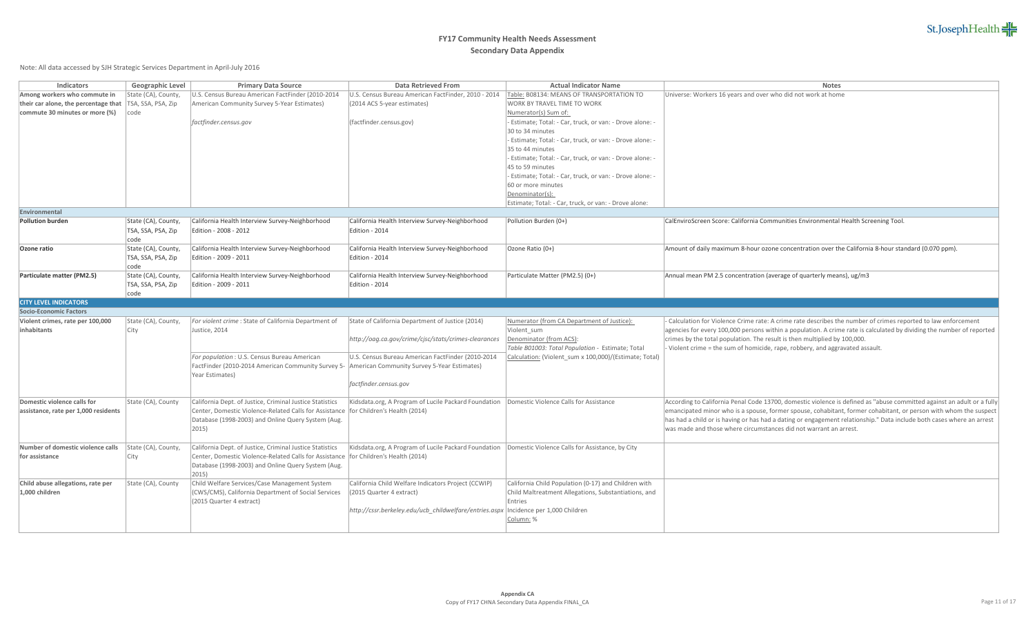| <b>Indicators</b>                    | <b>Geographic Level</b>     | <b>Primary Data Source</b>                                                                                                                    | <b>Data Retrieved From</b>                                                                             | <b>Actual Indicator Name</b>                                                                               | <b>Notes</b>                                                                                                                                                                               |
|--------------------------------------|-----------------------------|-----------------------------------------------------------------------------------------------------------------------------------------------|--------------------------------------------------------------------------------------------------------|------------------------------------------------------------------------------------------------------------|--------------------------------------------------------------------------------------------------------------------------------------------------------------------------------------------|
| Among workers who commute in         | State (CA), County,         | J.S. Census Bureau American FactFinder (2010-2014                                                                                             | U.S. Census Bureau American FactFinder, 2010 - 2014                                                    | Table: B08134: MEANS OF TRANSPORTATION TO                                                                  | Universe: Workers 16 years and over who did not work at home                                                                                                                               |
| their car alone, the percentage that | TSA, SSA, PSA, Zip          | American Community Survey 5-Year Estimates)                                                                                                   | (2014 ACS 5-year estimates)                                                                            | <b>WORK BY TRAVEL TIME TO WORK</b>                                                                         |                                                                                                                                                                                            |
| commute 30 minutes or more (%)       | code                        |                                                                                                                                               |                                                                                                        | Numerator(s) Sum of:                                                                                       |                                                                                                                                                                                            |
|                                      |                             | factfinder.census.gov                                                                                                                         | (factfinder.census.gov)                                                                                | - Estimate; Total: - Car, truck, or van: - Drove alone: -                                                  |                                                                                                                                                                                            |
|                                      |                             |                                                                                                                                               |                                                                                                        | 30 to 34 minutes                                                                                           |                                                                                                                                                                                            |
|                                      |                             |                                                                                                                                               |                                                                                                        | - Estimate; Total: - Car, truck, or van: - Drove alone: -                                                  |                                                                                                                                                                                            |
|                                      |                             |                                                                                                                                               |                                                                                                        | 35 to 44 minutes                                                                                           |                                                                                                                                                                                            |
|                                      |                             |                                                                                                                                               |                                                                                                        | - Estimate; Total: - Car, truck, or van: - Drove alone: -                                                  |                                                                                                                                                                                            |
|                                      |                             |                                                                                                                                               |                                                                                                        | 45 to 59 minutes                                                                                           |                                                                                                                                                                                            |
|                                      |                             |                                                                                                                                               |                                                                                                        | - Estimate; Total: - Car, truck, or van: - Drove alone: -                                                  |                                                                                                                                                                                            |
|                                      |                             |                                                                                                                                               |                                                                                                        | 60 or more minutes                                                                                         |                                                                                                                                                                                            |
|                                      |                             |                                                                                                                                               |                                                                                                        | Denominator(s):                                                                                            |                                                                                                                                                                                            |
|                                      |                             |                                                                                                                                               |                                                                                                        | Estimate; Total: - Car, truck, or van: - Drove alone:                                                      |                                                                                                                                                                                            |
| Environmental                        |                             |                                                                                                                                               |                                                                                                        |                                                                                                            |                                                                                                                                                                                            |
| <b>Pollution burden</b>              | State (CA), County,         | California Health Interview Survey-Neighborhood                                                                                               | California Health Interview Survey-Neighborhood                                                        | Pollution Burden (0+)                                                                                      | CalEnviroScreen Score: California Communities Environmental Health Screening Tool                                                                                                          |
|                                      | TSA, SSA, PSA, Zip          | Edition - 2008 - 2012                                                                                                                         | Edition - 2014                                                                                         |                                                                                                            |                                                                                                                                                                                            |
|                                      | code                        |                                                                                                                                               |                                                                                                        |                                                                                                            |                                                                                                                                                                                            |
| <b>Ozone ratio</b>                   | State (CA), County,         | California Health Interview Survey-Neighborhood                                                                                               | California Health Interview Survey-Neighborhood                                                        | Ozone Ratio (0+)                                                                                           | Amount of daily maximum 8-hour ozone concentration over the California 8-hour standard (0.070 ppm).                                                                                        |
|                                      | TSA, SSA, PSA, Zip          | Edition - 2009 - 2011                                                                                                                         | Edition - 2014                                                                                         |                                                                                                            |                                                                                                                                                                                            |
| Particulate matter (PM2.5)           | code<br>State (CA), County, | California Health Interview Survey-Neighborhood                                                                                               | California Health Interview Survey-Neighborhood                                                        | Particulate Matter (PM2.5) (0+)                                                                            | Annual mean PM 2.5 concentration (average of quarterly means), ug/m3                                                                                                                       |
|                                      | TSA, SSA, PSA, Zip          | Edition - 2009 - 2011                                                                                                                         | Edition - 2014                                                                                         |                                                                                                            |                                                                                                                                                                                            |
|                                      | code                        |                                                                                                                                               |                                                                                                        |                                                                                                            |                                                                                                                                                                                            |
| <b>CITY LEVEL INDICATORS</b>         |                             |                                                                                                                                               |                                                                                                        |                                                                                                            |                                                                                                                                                                                            |
| <b>Socio-Economic Factors</b>        |                             |                                                                                                                                               |                                                                                                        |                                                                                                            |                                                                                                                                                                                            |
| Violent crimes, rate per 100,000     | State (CA), County,         | For violent crime : State of California Department of                                                                                         | State of California Department of Justice (2014)                                                       | Numerator (from CA Department of Justice):                                                                 | - Calculation for Violence Crime rate: A crime rate describes the number of crimes reported to law enforcement                                                                             |
| inhabitants                          | City                        | Justice, 2014                                                                                                                                 |                                                                                                        | Violent_sum                                                                                                | agencies for every 100,000 persons within a population. A crime rate is calculated by dividing the number of reported                                                                      |
|                                      |                             | For population: U.S. Census Bureau American<br>FactFinder (2010-2014 American Community Survey 5- American Community Survey 5-Year Estimates) | http://oag.ca.gov/crime/cjsc/stats/crimes-clearances                                                   | Denominator (from ACS):                                                                                    | crimes by the total population. The result is then multiplied by 100,000.<br>- Violent crime = the sum of homicide, rape, robbery, and aggravated assault                                  |
|                                      |                             |                                                                                                                                               |                                                                                                        | Table B01003: Total Population - Estimate; Total<br>Calculation: (Violent_sum x 100,000)/(Estimate; Total) |                                                                                                                                                                                            |
|                                      |                             |                                                                                                                                               | U.S. Census Bureau American FactFinder (2010-2014                                                      |                                                                                                            |                                                                                                                                                                                            |
|                                      |                             |                                                                                                                                               |                                                                                                        |                                                                                                            |                                                                                                                                                                                            |
|                                      |                             | Year Estimates)                                                                                                                               |                                                                                                        |                                                                                                            |                                                                                                                                                                                            |
|                                      |                             |                                                                                                                                               | factfinder.census.gov                                                                                  |                                                                                                            |                                                                                                                                                                                            |
|                                      |                             |                                                                                                                                               |                                                                                                        |                                                                                                            |                                                                                                                                                                                            |
| Domestic violence calls for          | State (CA), County          | California Dept. of Justice, Criminal Justice Statistics                                                                                      | Kidsdata.org, A Program of Lucile Packard Foundation   Domestic Violence Calls for Assistance          |                                                                                                            | According to California Penal Code 13700, domestic violence is defined as "abuse committed against an adult or a fully                                                                     |
| assistance, rate per 1,000 residents |                             | Center, Domestic Violence-Related Calls for Assistance                                                                                        | for Children's Health (2014)                                                                           |                                                                                                            | emancipated minor who is a spouse, former spouse, cohabitant, former cohabitant, or person with whom the suspect                                                                           |
|                                      |                             | Database (1998-2003) and Online Query System (Aug.<br>2015)                                                                                   |                                                                                                        |                                                                                                            | has had a child or is having or has had a dating or engagement relationship." Data include both cases where an arrest<br>was made and those where circumstances did not warrant an arrest. |
|                                      |                             |                                                                                                                                               |                                                                                                        |                                                                                                            |                                                                                                                                                                                            |
| Number of domestic violence calls    | State (CA), County,         | California Dept. of Justice, Criminal Justice Statistics                                                                                      | Kidsdata.org, A Program of Lucile Packard Foundation   Domestic Violence Calls for Assistance, by City |                                                                                                            |                                                                                                                                                                                            |
| for assistance                       | City                        | Center, Domestic Violence-Related Calls for Assistance                                                                                        | for Children's Health (2014)                                                                           |                                                                                                            |                                                                                                                                                                                            |
|                                      |                             | Database (1998-2003) and Online Query System (Aug.                                                                                            |                                                                                                        |                                                                                                            |                                                                                                                                                                                            |
|                                      |                             | 2015)                                                                                                                                         |                                                                                                        |                                                                                                            |                                                                                                                                                                                            |
| Child abuse allegations, rate per    | State (CA), County          | Child Welfare Services/Case Management System                                                                                                 | California Child Welfare Indicators Project (CCWIP)                                                    | California Child Population (0-17) and Children with                                                       |                                                                                                                                                                                            |
| $1,000$ children                     |                             | (CWS/CMS), California Department of Social Services                                                                                           | (2015 Quarter 4 extract)                                                                               | Child Maltreatment Allegations, Substantiations, and                                                       |                                                                                                                                                                                            |
|                                      |                             | (2015 Quarter 4 extract)                                                                                                                      |                                                                                                        | <b>Entries</b>                                                                                             |                                                                                                                                                                                            |
|                                      |                             |                                                                                                                                               | http://cssr.berkeley.edu/ucb_childwelfare/entries.aspx  Incidence per 1,000 Children                   |                                                                                                            |                                                                                                                                                                                            |
|                                      |                             |                                                                                                                                               |                                                                                                        | <u>Column:</u> %                                                                                           |                                                                                                                                                                                            |
|                                      |                             |                                                                                                                                               |                                                                                                        |                                                                                                            |                                                                                                                                                                                            |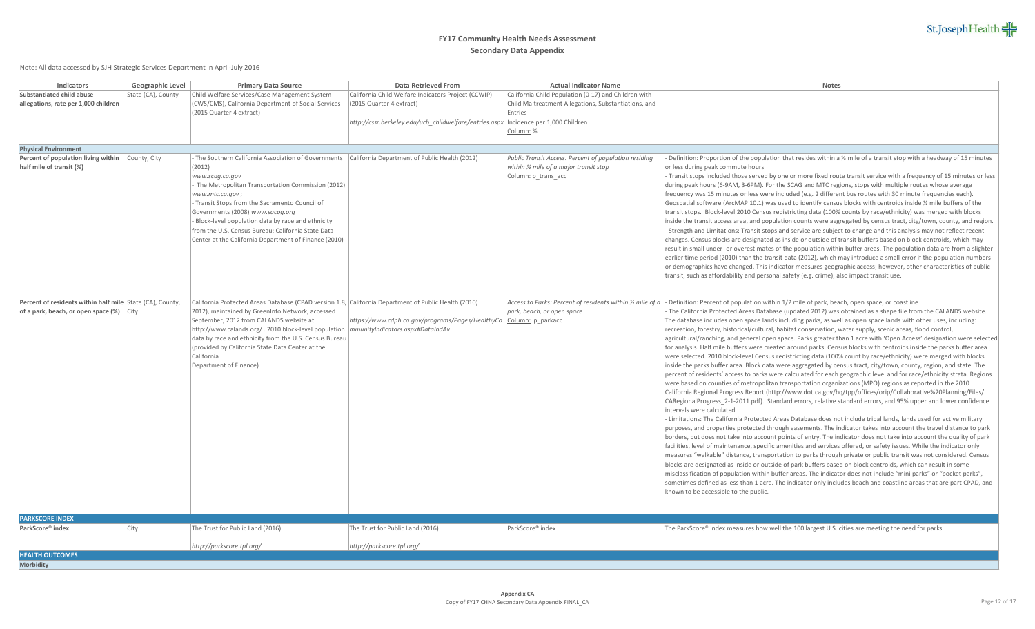## **FY17 Community Health Needs Assessment Secondary Data Appendix**

Note: All data accessed by SJH Strategic Services Department in April-July 2016

| Child Welfare Services/Case Management System<br>California Child Welfare Indicators Project (CCWIP)<br>California Child Population (0-17) and Children with<br>State (CA), County<br>(CWS/CMS), California Department of Social Services<br>Child Maltreatment Allegations, Substantiations, and<br>(2015 Quarter 4 extract)<br>(2015 Quarter 4 extract)<br>Entries<br>http://cssr.berkeley.edu/ucb_childwelfare/entries.aspx  Incidence per 1,000 Children<br><u>Column:</u> %<br>Percent of population living within<br>The Southern California Association of Governments   California Department of Public Health (2012) -<br>County, City<br>Public Transit Access: Percent of population residing<br>Definition: Proportion of the population that resides within a $\frac{1}{2}$ mile of a transit stop with a headway of 15 minutes<br>within $\frac{1}{2}$ mile of a major transit stop<br>(2012)<br>or less during peak commute hours<br>- Transit stops included those served by one or more fixed route transit service with a frequency of 15 minutes or less<br>Column: p_trans_acc<br>www.scag.ca.gov<br>during peak hours (6-9AM, 3-6PM). For the SCAG and MTC regions, stops with multiple routes whose average<br>The Metropolitan Transportation Commission (2012)<br>frequency was 15 minutes or less were included (e.g. 2 different bus routes with 30 minute frequencies each).<br>www.mtc.ca.gov;<br>Transit Stops from the Sacramento Council of<br>Geospatial software (ArcMAP 10.1) was used to identify census blocks with centroids inside 1/2 mile buffers of the<br>Governments (2008) www.sacog.org<br>transit stops. Block-level 2010 Census redistricting data (100% counts by race/ethnicity) was merged with blocks<br>- Block-level population data by race and ethnicity<br>inside the transit access area, and population counts were aggregated by census tract, city/town, county, and region.<br>from the U.S. Census Bureau: California State Data<br>- Strength and Limitations: Transit stops and service are subject to change and this analysis may not reflect recent<br>Center at the California Department of Finance (2010)<br>changes. Census blocks are designated as inside or outside of transit buffers based on block centroids, which may<br>result in small under- or overestimates of the population within buffer areas. The population data are from a slighter<br>earlier time period (2010) than the transit data (2012), which may introduce a small error if the population numbers<br>or demographics have changed. This indicator measures geographic access; however, other characteristics of public<br>transit, such as affordability and personal safety (e.g. crime), also impact transit use.<br>Percent of residents within half mile State (CA), County,<br>California Protected Areas Database (CPAD version 1.8, California Department of Public Health (2010)<br>Access to Parks: Percent of residents within $\frac{x}{y}$ mile of a  <br>- Definition: Percent of population within 1/2 mile of park, beach, open space, or coastline<br>2012), maintained by GreenInfo Network, accessed<br>park, beach, or open space<br>- The California Protected Areas Database (updated 2012) was obtained as a shape file from the CALANDS website.<br>of a park, beach, or open space $(\%)$ $\vert$ City<br>September, 2012 from CALANDS website at<br>The database includes open space lands including parks, as well as open space lands with other uses, including:<br>https://www.cdph.ca.gov/programs/Pages/HealthyCo   Column: p_parkacc<br>http://www.calands.org/. 2010 block-level population<br>mmunityIndicators.aspx#DataIndAv<br>recreation, forestry, historical/cultural, habitat conservation, water supply, scenic areas, flood control,<br>data by race and ethnicity from the U.S. Census Bureau<br>agricultural/ranching, and general open space. Parks greater than 1 acre with 'Open Access' designation were selected<br>(provided by California State Data Center at the<br>for analysis. Half mile buffers were created around parks. Census blocks with centroids inside the parks buffer area<br>California<br>were selected. 2010 block-level Census redistricting data (100% count by race/ethnicity) were merged with blocks<br>Department of Finance)<br>inside the parks buffer area. Block data were aggregated by census tract, city/town, county, region, and state. The<br>percent of residents' access to parks were calculated for each geographic level and for race/ethnicity strata. Regions<br>were based on counties of metropolitan transportation organizations (MPO) regions as reported in the 2010<br>California Regional Progress Report (http://www.dot.ca.gov/hq/tpp/offices/orip/Collaborative%20Planning/Files/<br>CARegionalProgress_2-1-2011.pdf). Standard errors, relative standard errors, and 95% upper and lower confidence<br>intervals were calculated.<br>- Limitations: The California Protected Areas Database does not include tribal lands, lands used for active military<br>purposes, and properties protected through easements. The indicator takes into account the travel distance to park<br>borders, but does not take into account points of entry. The indicator does not take into account the quality of park<br>facilities, level of maintenance, specific amenities and services offered, or safety issues. While the indicator only<br>measures "walkable" distance, transportation to parks through private or public transit was not considered. Census<br>blocks are designated as inside or outside of park buffers based on block centroids, which can result in some<br>misclassification of population within buffer areas. The indicator does not include "mini parks" or "pocket parks",<br>sometimes defined as less than 1 acre. The indicator only includes beach and coastline areas that are part CPAD, and<br>known to be accessible to the public.<br>City<br>ParkScore® index<br>The Trust for Public Land (2016)<br>The Trust for Public Land (2016)<br>The ParkScore® index measures how well the 100 largest U.S. cities are meeting the need for parks.<br>ParkScore <sup>®</sup> index<br>http://parkscore.tpl.org/<br>http://parkscore.tpl.org/ | Indicators                                                        | <b>Geographic Level</b> | <b>Primary Data Source</b> | <b>Data Retrieved From</b> | <b>Actual Indicator Name</b> | <b>Notes</b> |
|-------------------------------------------------------------------------------------------------------------------------------------------------------------------------------------------------------------------------------------------------------------------------------------------------------------------------------------------------------------------------------------------------------------------------------------------------------------------------------------------------------------------------------------------------------------------------------------------------------------------------------------------------------------------------------------------------------------------------------------------------------------------------------------------------------------------------------------------------------------------------------------------------------------------------------------------------------------------------------------------------------------------------------------------------------------------------------------------------------------------------------------------------------------------------------------------------------------------------------------------------------------------------------------------------------------------------------------------------------------------------------------------------------------------------------------------------------------------------------------------------------------------------------------------------------------------------------------------------------------------------------------------------------------------------------------------------------------------------------------------------------------------------------------------------------------------------------------------------------------------------------------------------------------------------------------------------------------------------------------------------------------------------------------------------------------------------------------------------------------------------------------------------------------------------------------------------------------------------------------------------------------------------------------------------------------------------------------------------------------------------------------------------------------------------------------------------------------------------------------------------------------------------------------------------------------------------------------------------------------------------------------------------------------------------------------------------------------------------------------------------------------------------------------------------------------------------------------------------------------------------------------------------------------------------------------------------------------------------------------------------------------------------------------------------------------------------------------------------------------------------------------------------------------------------------------------------------------------------------------------------------------------------------------------------------------------------------------------------------------------------------------------------------------------------------------------------------------------------------------------------------------------------------------------------------------------------------------------------------------------------------------------------------------------------------------------------------------------------------------------------------------------------------------------------------------------------------------------------------------------------------------------------------------------------------------------------------------------------------------------------------------------------------------------------------------------------------------------------------------------------------------------------------------------------------------------------------------------------------------------------------------------------------------------------------------------------------------------------------------------------------------------------------------------------------------------------------------------------------------------------------------------------------------------------------------------------------------------------------------------------------------------------------------------------------------------------------------------------------------------------------------------------------------------------------------------------------------------------------------------------------------------------------------------------------------------------------------------------------------------------------------------------------------------------------------------------------------------------------------------------------------------------------------------------------------------------------------------------------------------------------------------------------------------------------------------------------------------------------------------------------------------------------------------------------------------------------------------------------------------------------------------------------------------------------------------------------------------------------------------------------------------------------------------------------------------------------------------------------------------------------------------------------------------------------------------------------------------------------------------------------------------------------------------------------------------------------------------------------------------------------------------------------------------------------------------------------------------------------------------------------------------------------------------------------------------------------------------------------------------------------------------------------------------------------------------------------------|-------------------------------------------------------------------|-------------------------|----------------------------|----------------------------|------------------------------|--------------|
|                                                                                                                                                                                                                                                                                                                                                                                                                                                                                                                                                                                                                                                                                                                                                                                                                                                                                                                                                                                                                                                                                                                                                                                                                                                                                                                                                                                                                                                                                                                                                                                                                                                                                                                                                                                                                                                                                                                                                                                                                                                                                                                                                                                                                                                                                                                                                                                                                                                                                                                                                                                                                                                                                                                                                                                                                                                                                                                                                                                                                                                                                                                                                                                                                                                                                                                                                                                                                                                                                                                                                                                                                                                                                                                                                                                                                                                                                                                                                                                                                                                                                                                                                                                                                                                                                                                                                                                                                                                                                                                                                                                                                                                                                                                                                                                                                                                                                                                                                                                                                                                                                                                                                                                                                                                                                                                                                                                                                                                                                                                                                                                                                                                                                                                                                                                                                                                                                                                                                                                                                                                                                                                                                                                                                                                                                                                                     | Substantiated child abuse<br>allegations, rate per 1,000 children |                         |                            |                            |                              |              |
|                                                                                                                                                                                                                                                                                                                                                                                                                                                                                                                                                                                                                                                                                                                                                                                                                                                                                                                                                                                                                                                                                                                                                                                                                                                                                                                                                                                                                                                                                                                                                                                                                                                                                                                                                                                                                                                                                                                                                                                                                                                                                                                                                                                                                                                                                                                                                                                                                                                                                                                                                                                                                                                                                                                                                                                                                                                                                                                                                                                                                                                                                                                                                                                                                                                                                                                                                                                                                                                                                                                                                                                                                                                                                                                                                                                                                                                                                                                                                                                                                                                                                                                                                                                                                                                                                                                                                                                                                                                                                                                                                                                                                                                                                                                                                                                                                                                                                                                                                                                                                                                                                                                                                                                                                                                                                                                                                                                                                                                                                                                                                                                                                                                                                                                                                                                                                                                                                                                                                                                                                                                                                                                                                                                                                                                                                                                                     | <b>Physical Environment</b>                                       |                         |                            |                            |                              |              |
|                                                                                                                                                                                                                                                                                                                                                                                                                                                                                                                                                                                                                                                                                                                                                                                                                                                                                                                                                                                                                                                                                                                                                                                                                                                                                                                                                                                                                                                                                                                                                                                                                                                                                                                                                                                                                                                                                                                                                                                                                                                                                                                                                                                                                                                                                                                                                                                                                                                                                                                                                                                                                                                                                                                                                                                                                                                                                                                                                                                                                                                                                                                                                                                                                                                                                                                                                                                                                                                                                                                                                                                                                                                                                                                                                                                                                                                                                                                                                                                                                                                                                                                                                                                                                                                                                                                                                                                                                                                                                                                                                                                                                                                                                                                                                                                                                                                                                                                                                                                                                                                                                                                                                                                                                                                                                                                                                                                                                                                                                                                                                                                                                                                                                                                                                                                                                                                                                                                                                                                                                                                                                                                                                                                                                                                                                                                                     | half mile of transit (%)                                          |                         |                            |                            |                              |              |
|                                                                                                                                                                                                                                                                                                                                                                                                                                                                                                                                                                                                                                                                                                                                                                                                                                                                                                                                                                                                                                                                                                                                                                                                                                                                                                                                                                                                                                                                                                                                                                                                                                                                                                                                                                                                                                                                                                                                                                                                                                                                                                                                                                                                                                                                                                                                                                                                                                                                                                                                                                                                                                                                                                                                                                                                                                                                                                                                                                                                                                                                                                                                                                                                                                                                                                                                                                                                                                                                                                                                                                                                                                                                                                                                                                                                                                                                                                                                                                                                                                                                                                                                                                                                                                                                                                                                                                                                                                                                                                                                                                                                                                                                                                                                                                                                                                                                                                                                                                                                                                                                                                                                                                                                                                                                                                                                                                                                                                                                                                                                                                                                                                                                                                                                                                                                                                                                                                                                                                                                                                                                                                                                                                                                                                                                                                                                     |                                                                   |                         |                            |                            |                              |              |
|                                                                                                                                                                                                                                                                                                                                                                                                                                                                                                                                                                                                                                                                                                                                                                                                                                                                                                                                                                                                                                                                                                                                                                                                                                                                                                                                                                                                                                                                                                                                                                                                                                                                                                                                                                                                                                                                                                                                                                                                                                                                                                                                                                                                                                                                                                                                                                                                                                                                                                                                                                                                                                                                                                                                                                                                                                                                                                                                                                                                                                                                                                                                                                                                                                                                                                                                                                                                                                                                                                                                                                                                                                                                                                                                                                                                                                                                                                                                                                                                                                                                                                                                                                                                                                                                                                                                                                                                                                                                                                                                                                                                                                                                                                                                                                                                                                                                                                                                                                                                                                                                                                                                                                                                                                                                                                                                                                                                                                                                                                                                                                                                                                                                                                                                                                                                                                                                                                                                                                                                                                                                                                                                                                                                                                                                                                                                     | <b>PARKSCORE INDEX</b>                                            |                         |                            |                            |                              |              |
|                                                                                                                                                                                                                                                                                                                                                                                                                                                                                                                                                                                                                                                                                                                                                                                                                                                                                                                                                                                                                                                                                                                                                                                                                                                                                                                                                                                                                                                                                                                                                                                                                                                                                                                                                                                                                                                                                                                                                                                                                                                                                                                                                                                                                                                                                                                                                                                                                                                                                                                                                                                                                                                                                                                                                                                                                                                                                                                                                                                                                                                                                                                                                                                                                                                                                                                                                                                                                                                                                                                                                                                                                                                                                                                                                                                                                                                                                                                                                                                                                                                                                                                                                                                                                                                                                                                                                                                                                                                                                                                                                                                                                                                                                                                                                                                                                                                                                                                                                                                                                                                                                                                                                                                                                                                                                                                                                                                                                                                                                                                                                                                                                                                                                                                                                                                                                                                                                                                                                                                                                                                                                                                                                                                                                                                                                                                                     |                                                                   |                         |                            |                            |                              |              |
|                                                                                                                                                                                                                                                                                                                                                                                                                                                                                                                                                                                                                                                                                                                                                                                                                                                                                                                                                                                                                                                                                                                                                                                                                                                                                                                                                                                                                                                                                                                                                                                                                                                                                                                                                                                                                                                                                                                                                                                                                                                                                                                                                                                                                                                                                                                                                                                                                                                                                                                                                                                                                                                                                                                                                                                                                                                                                                                                                                                                                                                                                                                                                                                                                                                                                                                                                                                                                                                                                                                                                                                                                                                                                                                                                                                                                                                                                                                                                                                                                                                                                                                                                                                                                                                                                                                                                                                                                                                                                                                                                                                                                                                                                                                                                                                                                                                                                                                                                                                                                                                                                                                                                                                                                                                                                                                                                                                                                                                                                                                                                                                                                                                                                                                                                                                                                                                                                                                                                                                                                                                                                                                                                                                                                                                                                                                                     | <b>HEALTH OUTCOMES</b>                                            |                         |                            |                            |                              |              |

**Morbidity**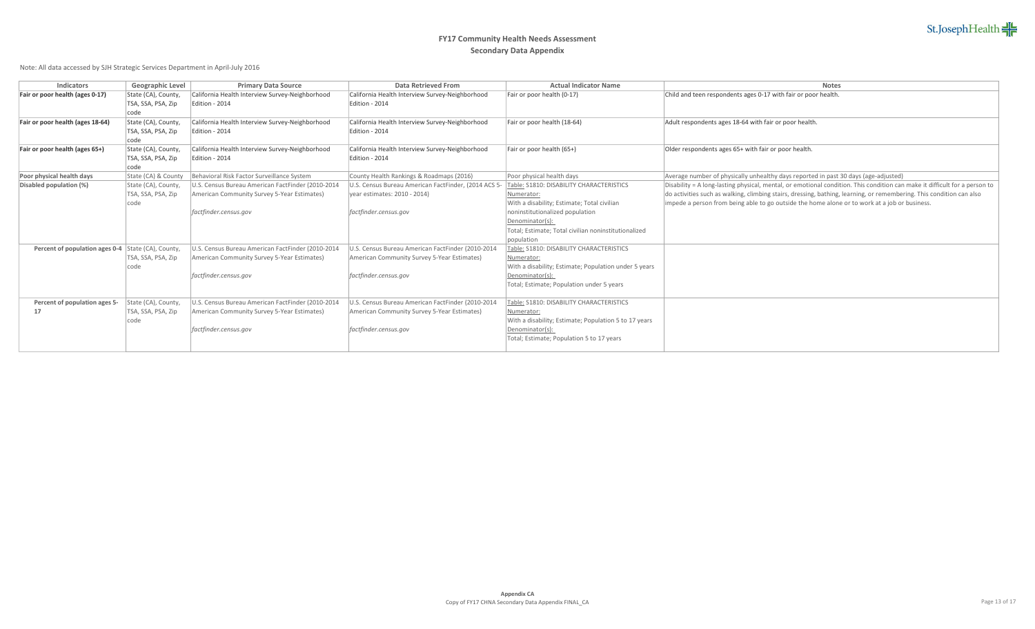| <b>Indicators</b>                                         | <b>Geographic Level</b> | <b>Primary Data Source</b>                        | <b>Data Retrieved From</b>                           | <b>Actual Indicator Name</b>                          | <b>Notes</b>                                                                                                               |
|-----------------------------------------------------------|-------------------------|---------------------------------------------------|------------------------------------------------------|-------------------------------------------------------|----------------------------------------------------------------------------------------------------------------------------|
| Fair or poor health (ages 0-17)                           | State (CA), County,     | California Health Interview Survey-Neighborhood   | California Health Interview Survey-Neighborhood      | Fair or poor health (0-17)                            | Child and teen respondents ages 0-17 with fair or poor health.                                                             |
|                                                           | TSA, SSA, PSA, Zip      | Edition - 2014                                    | Edition - 2014                                       |                                                       |                                                                                                                            |
|                                                           | code                    |                                                   |                                                      |                                                       |                                                                                                                            |
| Fair or poor health (ages 18-64)                          | State (CA), County,     | California Health Interview Survey-Neighborhood   | California Health Interview Survey-Neighborhood      | Fair or poor health (18-64)                           | Adult respondents ages 18-64 with fair or poor health.                                                                     |
|                                                           | TSA, SSA, PSA, Zip      | Edition - 2014                                    | Edition - 2014                                       |                                                       |                                                                                                                            |
|                                                           | code                    |                                                   |                                                      |                                                       |                                                                                                                            |
| Fair or poor health (ages 65+)                            | State (CA), County,     | California Health Interview Survey-Neighborhood   | California Health Interview Survey-Neighborhood      | Fair or poor health (65+)                             | Older respondents ages 65+ with fair or poor health.                                                                       |
|                                                           | TSA, SSA, PSA, Zip      | Edition - 2014                                    | Edition - 2014                                       |                                                       |                                                                                                                            |
|                                                           | code                    |                                                   |                                                      |                                                       |                                                                                                                            |
| Poor physical health days                                 | State (CA) & County     | Behavioral Risk Factor Surveillance System        | County Health Rankings & Roadmaps (2016)             | Poor physical health days                             | Average number of physically unhealthy days reported in past 30 days (age-adjusted)                                        |
| Disabled population (%)                                   | State (CA), County,     | U.S. Census Bureau American FactFinder (2010-2014 | U.S. Census Bureau American FactFinder, (2014 ACS 5- | Table: S1810: DISABILITY CHARACTERISTICS              | Disability = A long-lasting physical, mental, or emotional condition. This condition can make it difficult for a person to |
|                                                           | TSA, SSA, PSA, Zip      | American Community Survey 5-Year Estimates)       | year estimates: 2010 - 2014)                         | Numerator:                                            | do activities such as walking, climbing stairs, dressing, bathing, learning, or remembering. This condition can also       |
|                                                           | code                    |                                                   |                                                      | With a disability; Estimate; Total civilian           | impede a person from being able to go outside the home alone or to work at a job or business.                              |
|                                                           |                         | factfinder.census.gov                             | factfinder.census.gov                                | noninstitutionalized population                       |                                                                                                                            |
|                                                           |                         |                                                   |                                                      | Denominator(s):                                       |                                                                                                                            |
|                                                           |                         |                                                   |                                                      | Total; Estimate; Total civilian noninstitutionalized  |                                                                                                                            |
|                                                           |                         |                                                   |                                                      | population                                            |                                                                                                                            |
| <b>Percent of population ages 0-4</b> State (CA), County, |                         | U.S. Census Bureau American FactFinder (2010-2014 | U.S. Census Bureau American FactFinder (2010-2014    | Table: S1810: DISABILITY CHARACTERISTICS              |                                                                                                                            |
|                                                           | TSA, SSA, PSA, Zip      | American Community Survey 5-Year Estimates)       | American Community Survey 5-Year Estimates)          | Numerator:                                            |                                                                                                                            |
|                                                           | code                    |                                                   |                                                      | With a disability; Estimate; Population under 5 years |                                                                                                                            |
|                                                           |                         | factfinder.census.gov                             | factfinder.census.gov                                | Denominator(s):                                       |                                                                                                                            |
|                                                           |                         |                                                   |                                                      | Total; Estimate; Population under 5 years             |                                                                                                                            |
|                                                           |                         |                                                   |                                                      |                                                       |                                                                                                                            |
| Percent of population ages 5-                             | State (CA), County,     | U.S. Census Bureau American FactFinder (2010-2014 | U.S. Census Bureau American FactFinder (2010-2014    | Table: S1810: DISABILITY CHARACTERISTICS              |                                                                                                                            |
| 17                                                        | TSA, SSA, PSA, Zip      | American Community Survey 5-Year Estimates)       | American Community Survey 5-Year Estimates)          | Numerator:                                            |                                                                                                                            |
|                                                           | code                    |                                                   |                                                      | With a disability; Estimate; Population 5 to 17 years |                                                                                                                            |
|                                                           |                         | factfinder.census.gov                             | factfinder.census.gov                                | Denominator(s):                                       |                                                                                                                            |
|                                                           |                         |                                                   |                                                      | Total; Estimate; Population 5 to 17 years             |                                                                                                                            |
|                                                           |                         |                                                   |                                                      |                                                       |                                                                                                                            |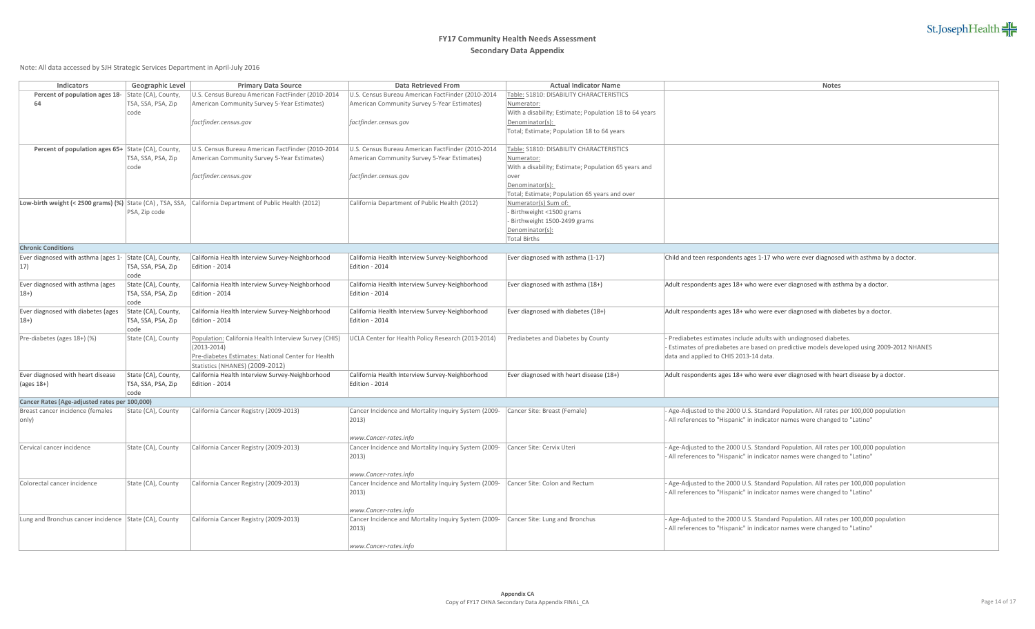| <b>Indicators</b>                                         | <b>Geographic Level</b> | <b>Primary Data Source</b>                            | <b>Data Retrieved From</b>                           | <b>Actual Indicator Name</b>                           | <b>Notes</b>                                                 |
|-----------------------------------------------------------|-------------------------|-------------------------------------------------------|------------------------------------------------------|--------------------------------------------------------|--------------------------------------------------------------|
| Percent of population ages 18-                            | State (CA), County,     | U.S. Census Bureau American FactFinder (2010-2014     | U.S. Census Bureau American FactFinder (2010-2014    | Table: S1810: DISABILITY CHARACTERISTICS               |                                                              |
| 64                                                        | TSA, SSA, PSA, Zip      | American Community Survey 5-Year Estimates)           | American Community Survey 5-Year Estimates)          | Numerator:                                             |                                                              |
|                                                           | code                    |                                                       |                                                      | With a disability; Estimate; Population 18 to 64 years |                                                              |
|                                                           |                         | factfinder.census.gov                                 | factfinder.census.gov                                | Denominator(s):                                        |                                                              |
|                                                           |                         |                                                       |                                                      | Total; Estimate; Population 18 to 64 years             |                                                              |
| Percent of population ages 65+ State (CA), County,        |                         | U.S. Census Bureau American FactFinder (2010-2014     | U.S. Census Bureau American FactFinder (2010-2014    | Table: S1810: DISABILITY CHARACTERISTICS               |                                                              |
|                                                           | TSA, SSA, PSA, Zip      | American Community Survey 5-Year Estimates)           | American Community Survey 5-Year Estimates)          | Numerator:                                             |                                                              |
|                                                           | code                    |                                                       |                                                      | With a disability; Estimate; Population 65 years and   |                                                              |
|                                                           |                         | factfinder.census.gov                                 | factfinder.census.gov                                | over                                                   |                                                              |
|                                                           |                         |                                                       |                                                      | Denominator(s):                                        |                                                              |
|                                                           |                         |                                                       |                                                      | Total; Estimate; Population 65 years and over          |                                                              |
| Low-birth weight (< 2500 grams) (%) State (CA), TSA, SSA, |                         | California Department of Public Health (2012)         | California Department of Public Health (2012)        | Numerator(s) Sum of:                                   |                                                              |
|                                                           | PSA, Zip code           |                                                       |                                                      | Birthweight <1500 grams                                |                                                              |
|                                                           |                         |                                                       |                                                      | Birthweight 1500-2499 grams                            |                                                              |
|                                                           |                         |                                                       |                                                      | Denominator(s):                                        |                                                              |
|                                                           |                         |                                                       |                                                      | <b>Total Births</b>                                    |                                                              |
| <b>Chronic Conditions</b>                                 |                         |                                                       |                                                      |                                                        |                                                              |
| Ever diagnosed with asthma (ages 1- State (CA), County,   |                         | California Health Interview Survey-Neighborhood       | California Health Interview Survey-Neighborhood      | Ever diagnosed with asthma (1-17)                      | Child and teen respondents ages 1-17 who were ever diagnose  |
| $ 17\rangle$                                              | TSA, SSA, PSA, Zip      | Edition - 2014                                        | Edition - 2014                                       |                                                        |                                                              |
|                                                           | code                    |                                                       |                                                      |                                                        |                                                              |
| Ever diagnosed with asthma (ages                          | State (CA), County,     | California Health Interview Survey-Neighborhood       | California Health Interview Survey-Neighborhood      | Ever diagnosed with asthma (18+)                       | Adult respondents ages 18+ who were ever diagnosed with ast  |
| $ 18+ \rangle$                                            | TSA, SSA, PSA, Zip      | Edition - 2014                                        | Edition - 2014                                       |                                                        |                                                              |
|                                                           | code                    |                                                       |                                                      |                                                        |                                                              |
| Ever diagnosed with diabetes (ages                        | State (CA), County,     | California Health Interview Survey-Neighborhood       | California Health Interview Survey-Neighborhood      | Ever diagnosed with diabetes (18+)                     | Adult respondents ages 18+ who were ever diagnosed with dia  |
| $ 18+ \rangle$                                            | TSA, SSA, PSA, Zip      | Edition - 2014                                        | Edition - 2014                                       |                                                        |                                                              |
|                                                           | code                    |                                                       |                                                      |                                                        |                                                              |
| Pre-diabetes (ages 18+) (%)                               | State (CA), County      | Population: California Health Interview Survey (CHIS) | UCLA Center for Health Policy Research (2013-2014)   | Prediabetes and Diabetes by County                     | Prediabetes estimates include adults with undiagnosed diabe  |
|                                                           |                         | $(2013 - 2014)$                                       |                                                      |                                                        | Estimates of prediabetes are based on predictive models dev  |
|                                                           |                         | Pre-diabetes Estimates: National Center for Health    |                                                      |                                                        | data and applied to CHIS 2013-14 data.                       |
|                                                           |                         | Statistics (NHANES) (2009-2012)                       |                                                      |                                                        |                                                              |
| Ever diagnosed with heart disease                         | State (CA), County,     | California Health Interview Survey-Neighborhood       | California Health Interview Survey-Neighborhood      | Ever diagnosed with heart disease (18+)                | Adult respondents ages 18+ who were ever diagnosed with hear |
| $\vert$ (ages 18+)                                        | TSA, SSA, PSA, Zip      | Edition - 2014                                        | Edition - 2014                                       |                                                        |                                                              |
|                                                           | code                    |                                                       |                                                      |                                                        |                                                              |
| Cancer Rates (Age-adjusted rates per 100,000)             |                         |                                                       |                                                      |                                                        |                                                              |
| Breast cancer incidence (females                          | State (CA), County      | California Cancer Registry (2009-2013)                | Cancer Incidence and Mortality Inquiry System (2009- | Cancer Site: Breast (Female)                           | Age-Adjusted to the 2000 U.S. Standard Population. All rates |
| $ only\rangle$                                            |                         |                                                       | $ 2013\rangle$                                       |                                                        | All references to "Hispanic" in indicator names were changed |
|                                                           |                         |                                                       |                                                      |                                                        |                                                              |
|                                                           |                         |                                                       | www.Cancer-rates.info                                |                                                        |                                                              |
| Cervical cancer incidence                                 | State (CA), County      | California Cancer Registry (2009-2013)                | Cancer Incidence and Mortality Inquiry System (2009- | Cancer Site: Cervix Uteri                              | Age-Adjusted to the 2000 U.S. Standard Population. All rates |
|                                                           |                         |                                                       | $ 2013\rangle$                                       |                                                        | All references to "Hispanic" in indicator names were changed |
|                                                           |                         |                                                       |                                                      |                                                        |                                                              |
|                                                           |                         |                                                       | www.Cancer-rates.info                                |                                                        |                                                              |
| Colorectal cancer incidence                               | State (CA), County      | California Cancer Registry (2009-2013)                | Cancer Incidence and Mortality Inquiry System (2009- | Cancer Site: Colon and Rectum                          | Age-Adjusted to the 2000 U.S. Standard Population. All rates |
|                                                           |                         |                                                       | $ 2013\rangle$                                       |                                                        | All references to "Hispanic" in indicator names were changed |
|                                                           |                         |                                                       |                                                      |                                                        |                                                              |
|                                                           |                         |                                                       | www.Cancer-rates.info                                |                                                        |                                                              |
| Lung and Bronchus cancer incidence State (CA), County     |                         | California Cancer Registry (2009-2013)                | Cancer Incidence and Mortality Inquiry System (2009- | Cancer Site: Lung and Bronchus                         | Age-Adjusted to the 2000 U.S. Standard Population. All rates |
|                                                           |                         |                                                       | $ 2013\rangle$                                       |                                                        | All references to "Hispanic" in indicator names were changed |
|                                                           |                         |                                                       |                                                      |                                                        |                                                              |
|                                                           |                         |                                                       | www.Cancer-rates.info                                |                                                        |                                                              |

| Data Retrieved From                                                           | <b>Actual Indicator Name</b>                           | <b>Notes</b>                                                                             |
|-------------------------------------------------------------------------------|--------------------------------------------------------|------------------------------------------------------------------------------------------|
| U.S. Census Bureau American FactFinder (2010-2014                             | Table: S1810: DISABILITY CHARACTERISTICS               |                                                                                          |
| American Community Survey 5-Year Estimates)                                   | Numerator:                                             |                                                                                          |
|                                                                               | With a disability; Estimate; Population 18 to 64 years |                                                                                          |
| factfinder.census.gov                                                         | Denominator(s):                                        |                                                                                          |
|                                                                               | Total; Estimate; Population 18 to 64 years             |                                                                                          |
|                                                                               |                                                        |                                                                                          |
|                                                                               |                                                        |                                                                                          |
| U.S. Census Bureau American FactFinder (2010-2014                             | Table: S1810: DISABILITY CHARACTERISTICS               |                                                                                          |
| American Community Survey 5-Year Estimates)                                   | Numerator:                                             |                                                                                          |
|                                                                               | With a disability; Estimate; Population 65 years and   |                                                                                          |
| factfinder.census.gov                                                         | over                                                   |                                                                                          |
|                                                                               | Denominator(s):                                        |                                                                                          |
|                                                                               | Total; Estimate; Population 65 years and over          |                                                                                          |
| California Department of Public Health (2012)                                 | Numerator(s) Sum of:                                   |                                                                                          |
|                                                                               | Birthweight <1500 grams                                |                                                                                          |
|                                                                               | Birthweight 1500-2499 grams                            |                                                                                          |
|                                                                               | Denominator(s):                                        |                                                                                          |
|                                                                               | <b>Total Births</b>                                    |                                                                                          |
|                                                                               |                                                        |                                                                                          |
| California Health Interview Survey-Neighborhood                               | Ever diagnosed with asthma (1-17)                      | Child and teen respondents ages 1-17 who were ever diagnosed with asthma by a doctor.    |
| Edition - 2014                                                                |                                                        |                                                                                          |
|                                                                               |                                                        |                                                                                          |
| California Health Interview Survey-Neighborhood                               | Ever diagnosed with asthma (18+)                       | Adult respondents ages 18+ who were ever diagnosed with asthma by a doctor.              |
| Edition - 2014                                                                |                                                        |                                                                                          |
|                                                                               |                                                        |                                                                                          |
|                                                                               |                                                        |                                                                                          |
| California Health Interview Survey-Neighborhood                               | Ever diagnosed with diabetes (18+)                     | Adult respondents ages 18+ who were ever diagnosed with diabetes by a doctor.            |
| Edition - 2014                                                                |                                                        |                                                                                          |
|                                                                               |                                                        |                                                                                          |
| UCLA Center for Health Policy Research (2013-2014)                            | Prediabetes and Diabetes by County                     | Prediabetes estimates include adults with undiagnosed diabetes.                          |
|                                                                               |                                                        | Estimates of prediabetes are based on predictive models developed using 2009-2012 NHANES |
|                                                                               |                                                        | data and applied to CHIS 2013-14 data.                                                   |
|                                                                               |                                                        |                                                                                          |
| California Health Interview Survey-Neighborhood                               | Ever diagnosed with heart disease (18+)                | Adult respondents ages 18+ who were ever diagnosed with heart disease by a doctor.       |
| Edition - 2014                                                                |                                                        |                                                                                          |
|                                                                               |                                                        |                                                                                          |
|                                                                               |                                                        |                                                                                          |
| Cancer Incidence and Mortality Inquiry System (2009-                          | Cancer Site: Breast (Female)                           | Age-Adjusted to the 2000 U.S. Standard Population. All rates per 100,000 population      |
| 2013)                                                                         |                                                        | All references to "Hispanic" in indicator names were changed to "Latino"                 |
|                                                                               |                                                        |                                                                                          |
| www.Cancer-rates.info                                                         |                                                        |                                                                                          |
| Cancer Incidence and Mortality Inquiry System (2009-                          | Cancer Site: Cervix Uteri                              | Age-Adjusted to the 2000 U.S. Standard Population. All rates per 100,000 population      |
| 2013)                                                                         |                                                        | All references to "Hispanic" in indicator names were changed to "Latino"                 |
|                                                                               |                                                        |                                                                                          |
| www.Cancer-rates.info                                                         |                                                        |                                                                                          |
| Cancer Incidence and Mortality Inquiry System (2009-                          | Cancer Site: Colon and Rectum                          | Age-Adjusted to the 2000 U.S. Standard Population. All rates per 100,000 population      |
|                                                                               |                                                        | All references to "Hispanic" in indicator names were changed to "Latino"                 |
| 2013)                                                                         |                                                        |                                                                                          |
|                                                                               |                                                        |                                                                                          |
| www.Cancer-rates.info<br>Cancer Incidence and Mortality Inquiry System (2009- |                                                        |                                                                                          |
|                                                                               | Cancer Site: Lung and Bronchus                         | Age-Adjusted to the 2000 U.S. Standard Population. All rates per 100,000 population      |
| 2013)                                                                         |                                                        | All references to "Hispanic" in indicator names were changed to "Latino"                 |
|                                                                               |                                                        |                                                                                          |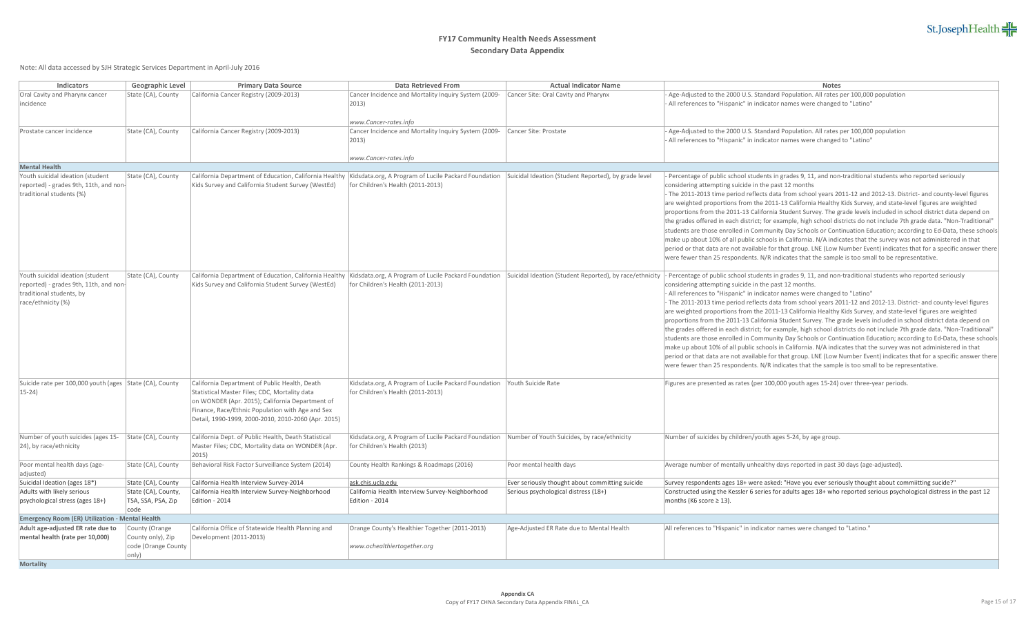| <b>Indicators</b>                                       | <b>Geographic Level</b> | <b>Primary Data Source</b>                           | <b>Data Retrieved From</b>                                                                                    | <b>Actual Indicator Name</b>                            | <b>Notes</b>                                                                                                             |  |
|---------------------------------------------------------|-------------------------|------------------------------------------------------|---------------------------------------------------------------------------------------------------------------|---------------------------------------------------------|--------------------------------------------------------------------------------------------------------------------------|--|
| Oral Cavity and Pharynx cancer                          | State (CA), County      | California Cancer Registry (2009-2013)               | Cancer Incidence and Mortality Inquiry System (2009-                                                          | Cancer Site: Oral Cavity and Pharynx                    | Age-Adjusted to the 2000 U.S. Standard Population. All rates per 100,000 population                                      |  |
| incidence                                               |                         |                                                      | $ 2013\rangle$                                                                                                |                                                         | - All references to "Hispanic" in indicator names were changed to "Latino"                                               |  |
|                                                         |                         |                                                      |                                                                                                               |                                                         |                                                                                                                          |  |
|                                                         |                         |                                                      | www.Cancer-rates.info                                                                                         |                                                         |                                                                                                                          |  |
| Prostate cancer incidence                               | State (CA), County      | California Cancer Registry (2009-2013)               | Cancer Incidence and Mortality Inquiry System (2009-                                                          | Cancer Site: Prostate                                   | - Age-Adjusted to the 2000 U.S. Standard Population. All rates per 100,000 population                                    |  |
|                                                         |                         |                                                      | $ 2013\rangle$                                                                                                |                                                         | All references to "Hispanic" in indicator names were changed to "Latino"                                                 |  |
|                                                         |                         |                                                      |                                                                                                               |                                                         |                                                                                                                          |  |
|                                                         |                         |                                                      | www.Cancer-rates.info                                                                                         |                                                         |                                                                                                                          |  |
| <b>Mental Health</b>                                    |                         |                                                      |                                                                                                               |                                                         |                                                                                                                          |  |
| Youth suicidal ideation (student                        | State (CA), County      |                                                      | California Department of Education, California Healthy   Kidsdata.org, A Program of Lucile Packard Foundation | Suicidal Ideation (Student Reported), by grade level    | Percentage of public school students in grades 9, 11, and non-traditional students who reported seriously                |  |
| reported) - grades 9th, 11th, and non-                  |                         | Kids Survey and California Student Survey (WestEd)   | for Children's Health (2011-2013)                                                                             |                                                         | considering attempting suicide in the past 12 months                                                                     |  |
| traditional students (%)                                |                         |                                                      |                                                                                                               |                                                         | - The 2011-2013 time period reflects data from school years 2011-12 and 2012-13. District- and county-level figures      |  |
|                                                         |                         |                                                      |                                                                                                               |                                                         | are weighted proportions from the 2011-13 California Healthy Kids Survey, and state-level figures are weighted           |  |
|                                                         |                         |                                                      |                                                                                                               |                                                         | proportions from the 2011-13 California Student Survey. The grade levels included in school district data depend on      |  |
|                                                         |                         |                                                      |                                                                                                               |                                                         | the grades offered in each district; for example, high school districts do not include 7th grade data. "Non-Traditional" |  |
|                                                         |                         |                                                      |                                                                                                               |                                                         | students are those enrolled in Community Day Schools or Continuation Education; according to Ed-Data, these schools      |  |
|                                                         |                         |                                                      |                                                                                                               |                                                         | make up about 10% of all public schools in California. N/A indicates that the survey was not administered in that        |  |
|                                                         |                         |                                                      |                                                                                                               |                                                         | period or that data are not available for that group. LNE (Low Number Event) indicates that for a specific answer there  |  |
|                                                         |                         |                                                      |                                                                                                               |                                                         | were fewer than 25 respondents. N/R indicates that the sample is too small to be representative.                         |  |
| Youth suicidal ideation (student                        |                         |                                                      | California Department of Education, California Healthy Kidsdata.org, A Program of Lucile Packard Foundation   | Suicidal Ideation (Student Reported), by race/ethnicity | Percentage of public school students in grades 9, 11, and non-traditional students who reported seriously                |  |
| reported) - grades 9th, 11th, and non-                  | State (CA), County      | Kids Survey and California Student Survey (WestEd)   | for Children's Health (2011-2013)                                                                             |                                                         | considering attempting suicide in the past 12 months.                                                                    |  |
| traditional students, by                                |                         |                                                      |                                                                                                               |                                                         | - All references to "Hispanic" in indicator names were changed to "Latino"                                               |  |
| race/ethnicity (%)                                      |                         |                                                      |                                                                                                               |                                                         | - The 2011-2013 time period reflects data from school years 2011-12 and 2012-13. District- and county-level figures      |  |
|                                                         |                         |                                                      |                                                                                                               |                                                         | are weighted proportions from the 2011-13 California Healthy Kids Survey, and state-level figures are weighted           |  |
|                                                         |                         |                                                      |                                                                                                               |                                                         | proportions from the 2011-13 California Student Survey. The grade levels included in school district data depend on      |  |
|                                                         |                         |                                                      |                                                                                                               |                                                         | the grades offered in each district; for example, high school districts do not include 7th grade data. "Non-Traditional" |  |
|                                                         |                         |                                                      |                                                                                                               |                                                         | students are those enrolled in Community Day Schools or Continuation Education; according to Ed-Data, these schools      |  |
|                                                         |                         |                                                      |                                                                                                               |                                                         | make up about 10% of all public schools in California. N/A indicates that the survey was not administered in that        |  |
|                                                         |                         |                                                      |                                                                                                               |                                                         | period or that data are not available for that group. LNE (Low Number Event) indicates that for a specific answer there  |  |
|                                                         |                         |                                                      |                                                                                                               |                                                         | were fewer than 25 respondents. N/R indicates that the sample is too small to be representative.                         |  |
|                                                         |                         |                                                      |                                                                                                               |                                                         |                                                                                                                          |  |
| Suicide rate per 100,000 youth (ages State (CA), County |                         | California Department of Public Health, Death        | Kidsdata.org, A Program of Lucile Packard Foundation                                                          | Youth Suicide Rate                                      | Figures are presented as rates (per 100,000 youth ages 15-24) over three-year periods.                                   |  |
| $ 15-24\rangle$                                         |                         | Statistical Master Files; CDC, Mortality data        | for Children's Health (2011-2013)                                                                             |                                                         |                                                                                                                          |  |
|                                                         |                         | on WONDER (Apr. 2015); California Department of      |                                                                                                               |                                                         |                                                                                                                          |  |
|                                                         |                         | Finance, Race/Ethnic Population with Age and Sex     |                                                                                                               |                                                         |                                                                                                                          |  |
|                                                         |                         | Detail, 1990-1999, 2000-2010, 2010-2060 (Apr. 2015)  |                                                                                                               |                                                         |                                                                                                                          |  |
|                                                         |                         |                                                      |                                                                                                               |                                                         |                                                                                                                          |  |
| Number of youth suicides (ages 15-                      | State (CA), County      | California Dept. of Public Health, Death Statistical | Kidsdata.org, A Program of Lucile Packard Foundation                                                          | Number of Youth Suicides, by race/ethnicity             | Number of suicides by children/youth ages 5-24, by age group.                                                            |  |
| [24], by race/ethnicity                                 |                         | Master Files; CDC, Mortality data on WONDER (Apr.    | for Children's Health (2013)                                                                                  |                                                         |                                                                                                                          |  |
|                                                         |                         | 2015)                                                |                                                                                                               |                                                         |                                                                                                                          |  |
| Poor mental health days (age-                           | State (CA), County      | Behavioral Risk Factor Surveillance System (2014)    | County Health Rankings & Roadmaps (2016)                                                                      | Poor mental health days                                 | Average number of mentally unhealthy days reported in past 30 days (age-adjusted).                                       |  |
| adjusted)                                               |                         |                                                      |                                                                                                               |                                                         |                                                                                                                          |  |
| Suicidal Ideation (ages 18*)                            | State (CA), County      | California Health Interview Survey-2014              | ask.chis.ucla.edu                                                                                             | Ever seriously thought about committing suicide         | Survey respondents ages 18+ were asked: "Have you ever seriously thought about commiitting sucide?"                      |  |
| Adults with likely serious                              | State (CA), County,     | California Health Interview Survey-Neighborhood      | California Health Interview Survey-Neighborhood                                                               | Serious psychological distress (18+)                    | Constructed using the Kessler 6 series for adults ages 18+ who reported serious psychological distress in the past 12    |  |
| psychological stress (ages 18+)                         | TSA, SSA, PSA, Zip      | Edition - 2014                                       | Edition - 2014                                                                                                |                                                         | months (K6 score $\geq$ 13).                                                                                             |  |
|                                                         | code                    |                                                      |                                                                                                               |                                                         |                                                                                                                          |  |
| <b>Emergency Room (ER) Utilization - Mental Health</b>  |                         |                                                      |                                                                                                               |                                                         |                                                                                                                          |  |
| Adult age-adjusted ER rate due to                       | County (Orange          | California Office of Statewide Health Planning and   | Orange County's Healthier Together (2011-2013)                                                                | Age-Adjusted ER Rate due to Mental Health               | All references to "Hispanic" in indicator names were changed to "Latino."                                                |  |
| mental health (rate per 10,000)                         | County only), Zip       | Development (2011-2013)                              |                                                                                                               |                                                         |                                                                                                                          |  |
|                                                         | code (Orange County     |                                                      | www.ochealthiertogether.org                                                                                   |                                                         |                                                                                                                          |  |
|                                                         | only)                   |                                                      |                                                                                                               |                                                         |                                                                                                                          |  |
| <b>Mortality</b>                                        |                         |                                                      |                                                                                                               |                                                         |                                                                                                                          |  |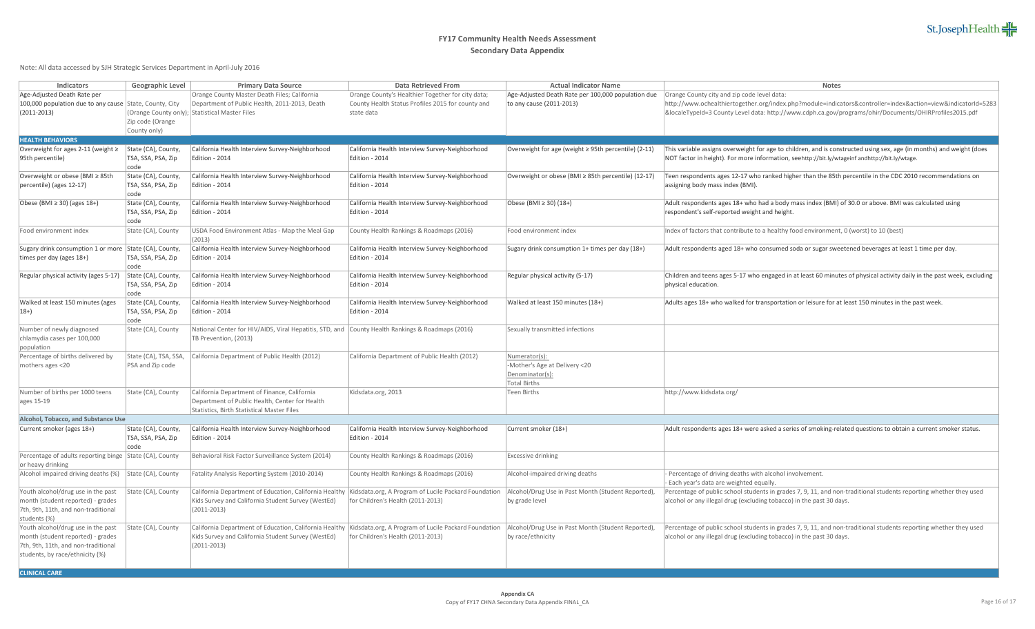| <b>Indicators</b>                                       | <b>Geographic Level</b>    | <b>Primary Data Source</b>                                                                       | <b>Data Retrieved From</b>                           | <b>Actual Indicator Name</b>                         | <b>Notes</b>                                                                                                           |
|---------------------------------------------------------|----------------------------|--------------------------------------------------------------------------------------------------|------------------------------------------------------|------------------------------------------------------|------------------------------------------------------------------------------------------------------------------------|
| Age-Adjusted Death Rate per                             |                            | Orange County Master Death Files; California                                                     | Orange County's Healthier Together for city data;    | Age-Adjusted Death Rate per 100,000 population due   | Orange County city and zip code level data:                                                                            |
| 100,000 population due to any cause                     | State, County, City        | Department of Public Health, 2011-2013, Death                                                    | County Health Status Profiles 2015 for county and    | to any cause $(2011-2013)$                           | http://www.ochealthiertogether.org/index.php?module=indicators&controller=index&action=view&indicatorId=5283           |
|                                                         |                            |                                                                                                  |                                                      |                                                      |                                                                                                                        |
| $(2011 - 2013)$                                         |                            | (Orange County only); Statistical Master Files                                                   | state data                                           |                                                      | &localeTypeId=3 County Level data: http://www.cdph.ca.gov/programs/ohir/Documents/OHIRProfiles2015.pdf                 |
|                                                         | Zip code (Orange           |                                                                                                  |                                                      |                                                      |                                                                                                                        |
| <b>HEALTH BEHAVIORS</b>                                 | County only)               |                                                                                                  |                                                      |                                                      |                                                                                                                        |
|                                                         |                            |                                                                                                  |                                                      |                                                      |                                                                                                                        |
| Overweight for ages 2-11 (weight $\ge$                  | State (CA), County,        | California Health Interview Survey-Neighborhood                                                  | California Health Interview Survey-Neighborhood      | Overweight for age (weight ≥ 95th percentile) (2-11) | This variable assigns overweight for age to children, and is constructed using sex, age (in months) and weight (does   |
| 95th percentile)                                        | TSA, SSA, PSA, Zip<br>code | Edition - 2014                                                                                   | Edition - 2014                                       |                                                      | NOT factor in height). For more information, seehttp://bit.ly/wtageinf andhttp://bit.ly/wtage.                         |
| Overweight or obese (BMI ≥ 85th                         | State (CA), County,        | California Health Interview Survey-Neighborhood                                                  | California Health Interview Survey-Neighborhood      | Overweight or obese (BMI ≥ 85th percentile) (12-17)  | Teen respondents ages 12-17 who ranked higher than the 85th percentile in the CDC 2010 recommendations on              |
| percentile) (ages 12-17)                                | TSA, SSA, PSA, Zip         | Edition - 2014                                                                                   | Edition - 2014                                       |                                                      | assigning body mass index (BMI).                                                                                       |
|                                                         | code                       |                                                                                                  |                                                      |                                                      |                                                                                                                        |
| Obese (BMI $\geq$ 30) (ages 18+)                        | State (CA), County,        | California Health Interview Survey-Neighborhood                                                  | California Health Interview Survey-Neighborhood      | Obese (BMI ≥ 30) (18+)                               | Adult respondents ages 18+ who had a body mass index (BMI) of 30.0 or above. BMI was calculated using                  |
|                                                         | TSA, SSA, PSA, Zip         | Edition - 2014                                                                                   | Edition - 2014                                       |                                                      | respondent's self-reported weight and height                                                                           |
|                                                         | code                       |                                                                                                  |                                                      |                                                      |                                                                                                                        |
| Food environment index                                  | State (CA), County         | <b>JSDA Food Environment Atlas - Map the Meal Gap</b><br>(2013)                                  | County Health Rankings & Roadmaps (2016)             | Food environment index                               | Index of factors that contribute to a healthy food environment, 0 (worst) to 10 (best)                                 |
| Sugary drink consumption 1 or more                      | State (CA), County,        | California Health Interview Survey-Neighborhood                                                  | California Health Interview Survey-Neighborhood      | Sugary drink consumption $1+$ times per day (18+)    | Adult respondents aged 18+ who consumed soda or sugar sweetened beverages at least 1 time per day.                     |
| times per day (ages 18+)                                | TSA, SSA, PSA, Zip         | Edition - 2014                                                                                   | Edition - 2014                                       |                                                      |                                                                                                                        |
|                                                         | code                       |                                                                                                  |                                                      |                                                      |                                                                                                                        |
| Regular physical activity (ages 5-17)                   | State (CA), County,        | California Health Interview Survey-Neighborhood                                                  | California Health Interview Survey-Neighborhood      | Regular physical activity (5-17)                     | Children and teens ages 5-17 who engaged in at least 60 minutes of physical activity daily in the past week, excluding |
|                                                         | TSA, SSA, PSA, Zip         | Edition - 2014                                                                                   | Edition - 2014                                       |                                                      | physical education.                                                                                                    |
|                                                         | code                       |                                                                                                  |                                                      |                                                      |                                                                                                                        |
| Walked at least 150 minutes (ages                       | State (CA), County,        | California Health Interview Survey-Neighborhood                                                  | California Health Interview Survey-Neighborhood      | Walked at least 150 minutes (18+)                    | Adults ages 18+ who walked for transportation or leisure for at least 150 minutes in the past week.                    |
| $ 18+ \rangle$                                          | TSA, SSA, PSA, Zip         | Edition - 2014                                                                                   | Edition - 2014                                       |                                                      |                                                                                                                        |
|                                                         | code                       |                                                                                                  |                                                      |                                                      |                                                                                                                        |
| Number of newly diagnosed                               | State (CA), County         | National Center for HIV/AIDS, Viral Hepatitis, STD, and County Health Rankings & Roadmaps (2016) |                                                      | Sexually transmitted infections                      |                                                                                                                        |
| chlamydia cases per 100,000                             |                            | TB Prevention, (2013)                                                                            |                                                      |                                                      |                                                                                                                        |
| population                                              |                            |                                                                                                  |                                                      |                                                      |                                                                                                                        |
| Percentage of births delivered by                       | State (CA), TSA, SSA,      | California Department of Public Health (2012)                                                    | California Department of Public Health (2012)        | Numerator(s):                                        |                                                                                                                        |
| mothers ages $<20$                                      | PSA and Zip code           |                                                                                                  |                                                      | -Mother's Age at Delivery <20                        |                                                                                                                        |
|                                                         |                            |                                                                                                  |                                                      | Denominator(s):                                      |                                                                                                                        |
|                                                         |                            |                                                                                                  |                                                      | <b>Total Births</b>                                  |                                                                                                                        |
| Number of births per 1000 teens                         | State (CA), County         | California Department of Finance, California                                                     | Kidsdata.org, 2013                                   | <b>Teen Births</b>                                   | http://www.kidsdata.org/                                                                                               |
| ages 15-19                                              |                            | Department of Public Health, Center for Health                                                   |                                                      |                                                      |                                                                                                                        |
|                                                         |                            | Statistics, Birth Statistical Master Files                                                       |                                                      |                                                      |                                                                                                                        |
| <b>Alcohol, Tobacco, and Substance Use</b>              |                            |                                                                                                  |                                                      |                                                      |                                                                                                                        |
|                                                         |                            | California Health Interview Survey-Neighborhood                                                  | California Health Interview Survey-Neighborhood      | Current smoker (18+)                                 | Adult respondents ages 18+ were asked a series of smoking-related questions to obtain a current smoker status.         |
| Current smoker (ages 18+)                               | State (CA), County,        | Edition - 2014                                                                                   | Edition - 2014                                       |                                                      |                                                                                                                        |
|                                                         | TSA, SSA, PSA, Zip<br>code |                                                                                                  |                                                      |                                                      |                                                                                                                        |
| Percentage of adults reporting binge State (CA), County |                            | Behavioral Risk Factor Surveillance System (2014)                                                | County Health Rankings & Roadmaps (2016)             | <b>Excessive drinking</b>                            |                                                                                                                        |
| or heavy drinking                                       |                            |                                                                                                  |                                                      |                                                      |                                                                                                                        |
| Alcohol impaired driving deaths (%)                     | State (CA), County         | Fatality Analysis Reporting System (2010-2014)                                                   | County Health Rankings & Roadmaps (2016)             | Alcohol-impaired driving deaths                      | Percentage of driving deaths with alcohol involvement                                                                  |
|                                                         |                            |                                                                                                  |                                                      |                                                      | - Each year's data are weighted equally.                                                                               |
| Youth alcohol/drug use in the past                      |                            | California Department of Education, California Healthy                                           | Kidsdata.org, A Program of Lucile Packard Foundation | Alcohol/Drug Use in Past Month (Student Reported)    | Percentage of public school students in grades 7, 9, 11, and non-traditional students reporting whether they used      |
|                                                         | State (CA), County         | Kids Survey and California Student Survey (WestEd)                                               | for Children's Health (2011-2013)                    |                                                      |                                                                                                                        |
| month (student reported) - grades                       |                            |                                                                                                  |                                                      | by grade level                                       | alcohol or any illegal drug (excluding tobacco) in the past 30 days.                                                   |
| 7th, 9th, 11th, and non-traditional                     |                            | $(2011 - 2013)$                                                                                  |                                                      |                                                      |                                                                                                                        |
| students (%)                                            |                            |                                                                                                  |                                                      |                                                      |                                                                                                                        |
| Youth alcohol/drug use in the past                      | State (CA), County         | California Department of Education, California Healthy                                           | Kidsdata.org, A Program of Lucile Packard Foundation | Alcohol/Drug Use in Past Month (Student Reported)    | Percentage of public school students in grades 7, 9, 11, and non-traditional students reporting whether they used      |
| month (student reported) - grades                       |                            | Kids Survey and California Student Survey (WestEd)                                               | for Children's Health (2011-2013)                    | by race/ethnicity                                    | alcohol or any illegal drug (excluding tobacco) in the past 30 days.                                                   |
| 7th, 9th, 11th, and non-traditional                     |                            | $(2011 - 2013)$                                                                                  |                                                      |                                                      |                                                                                                                        |
| students, by race/ethnicity (%)                         |                            |                                                                                                  |                                                      |                                                      |                                                                                                                        |
|                                                         |                            |                                                                                                  |                                                      |                                                      |                                                                                                                        |
| <b>CLINICAL CARE</b>                                    |                            |                                                                                                  |                                                      |                                                      |                                                                                                                        |